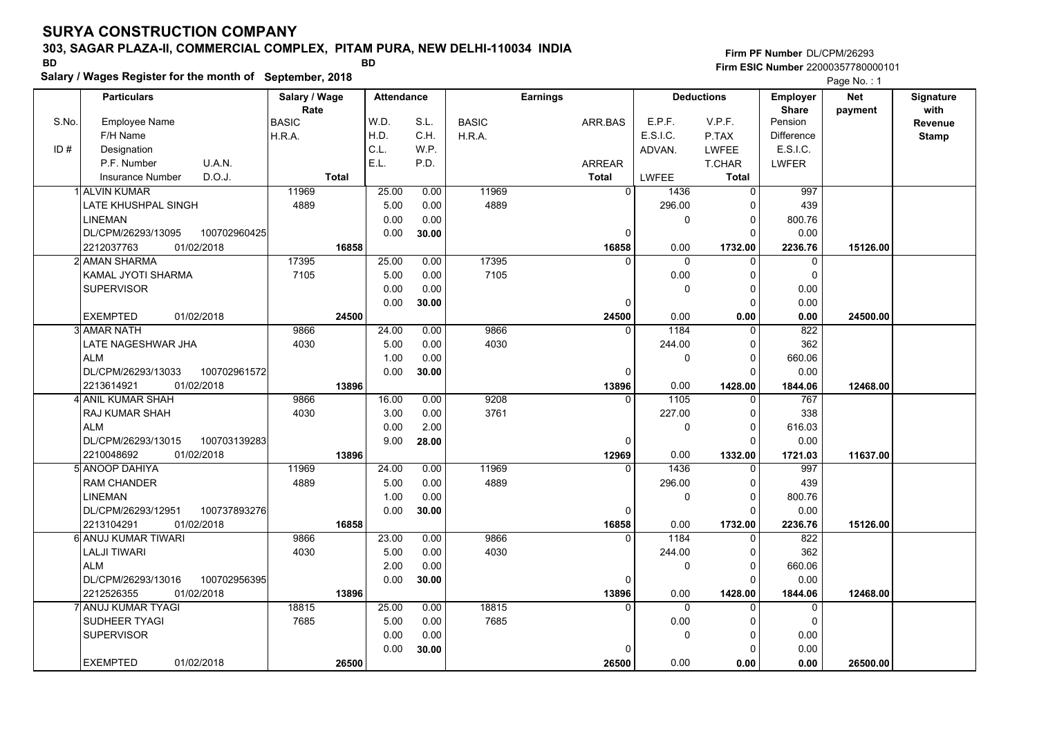### **303, SAGAR PLAZA-II, COMMERCIAL COMPLEX, PITAM PURA, NEW DELHI-110034 INDIA**

**Firm PF Number**DL/CPM/26293**Firm ESIC Number** 22000357780000101

**Salary / Wages Register for the month of September, 2018 BD BD Net** Page No.: 1

|       | <b>Particulars</b>                 | Salary / Wage        |              | <b>Attendance</b> |       |              | <b>Earnings</b> |              | <b>Deductions</b> | <b>Employer</b>         | Net      | <b>Signature</b> |
|-------|------------------------------------|----------------------|--------------|-------------------|-------|--------------|-----------------|--------------|-------------------|-------------------------|----------|------------------|
| S.No. | <b>Employee Name</b>               | Rate<br><b>BASIC</b> |              | W.D.              | S.L.  | <b>BASIC</b> | ARR.BAS         | E.P.F.       | V.P.F.            | <b>Share</b><br>Pension | payment  | with             |
|       | F/H Name                           |                      |              | H.D.              | C.H.  |              |                 | E.S.I.C.     |                   | <b>Difference</b>       |          | Revenue          |
| ID#   |                                    | H.R.A.               |              | C.L.              | W.P.  | H.R.A.       |                 |              | P.TAX             | E.S.I.C.                |          | <b>Stamp</b>     |
|       | Designation                        |                      |              | E.L.              |       |              |                 | ADVAN.       | <b>LWFEE</b>      |                         |          |                  |
|       | U.A.N.<br>P.F. Number              |                      |              |                   | P.D.  |              | <b>ARREAR</b>   |              | T.CHAR            | <b>LWFER</b>            |          |                  |
|       | D.O.J.<br><b>Insurance Number</b>  |                      | <b>Total</b> |                   |       |              | <b>Total</b>    | <b>LWFEE</b> | <b>Total</b>      |                         |          |                  |
|       | 1 ALVIN KUMAR                      | 11969                |              | 25.00             | 0.00  | 11969        | $\overline{0}$  | 1436         | $\overline{0}$    | 997                     |          |                  |
|       | LATE KHUSHPAL SINGH                | 4889                 |              | 5.00              | 0.00  | 4889         |                 | 296.00       | $\Omega$          | 439                     |          |                  |
|       | LINEMAN                            |                      |              | 0.00              | 0.00  |              |                 | $\mathbf 0$  | $\mathbf 0$       | 800.76                  |          |                  |
|       | 100702960425<br>DL/CPM/26293/13095 |                      |              | 0.00              | 30.00 |              | 0               |              | $\Omega$          | 0.00                    |          |                  |
|       | 2212037763<br>01/02/2018           |                      | 16858        |                   |       |              | 16858           | 0.00         | 1732.00           | 2236.76                 | 15126.00 |                  |
|       | 2l AMAN SHARMA                     | 17395                |              | 25.00             | 0.00  | 17395        | 0               | $\mathbf{0}$ | $\mathbf{0}$      | $\mathbf 0$             |          |                  |
|       | <b>KAMAL JYOTI SHARMA</b>          | 7105                 |              | 5.00              | 0.00  | 7105         |                 | 0.00         | $\Omega$          | $\Omega$                |          |                  |
|       | <b>SUPERVISOR</b>                  |                      |              | 0.00              | 0.00  |              |                 | $\mathbf 0$  | $\mathbf 0$       | 0.00                    |          |                  |
|       |                                    |                      |              | 0.00              | 30.00 |              | $\Omega$        |              | $\Omega$          | 0.00                    |          |                  |
|       | <b>EXEMPTED</b><br>01/02/2018      |                      | 24500        |                   |       |              | 24500           | 0.00         | 0.00              | 0.00                    | 24500.00 |                  |
|       | 3l AMAR NATH                       | 9866                 |              | 24.00             | 0.00  | 9866         | $\Omega$        | 1184         | $\mathbf{0}$      | 822                     |          |                  |
|       | LATE NAGESHWAR JHA                 | 4030                 |              | 5.00              | 0.00  | 4030         |                 | 244.00       | $\Omega$          | 362                     |          |                  |
|       | <b>ALM</b>                         |                      |              | 1.00              | 0.00  |              |                 | 0            | 0                 | 660.06                  |          |                  |
|       | DL/CPM/26293/13033<br>100702961572 |                      |              | 0.00              | 30.00 |              | $\Omega$        |              | $\Omega$          | 0.00                    |          |                  |
|       | 01/02/2018<br>2213614921           |                      | 13896        |                   |       |              | 13896           | 0.00         | 1428.00           | 1844.06                 | 12468.00 |                  |
|       | <b>ANIL KUMAR SHAH</b>             | 9866                 |              | 16.00             | 0.00  | 9208         | $\Omega$        | 1105         | $\mathbf{0}$      | 767                     |          |                  |
|       | RAJ KUMAR SHAH                     | 4030                 |              | 3.00              | 0.00  | 3761         |                 | 227.00       | $\mathbf 0$       | 338                     |          |                  |
|       | <b>ALM</b>                         |                      |              | 0.00              | 2.00  |              |                 | $\mathbf{0}$ | $\mathbf 0$       | 616.03                  |          |                  |
|       | DL/CPM/26293/13015<br>100703139283 |                      |              | 9.00              | 28.00 |              | 0               |              | $\Omega$          | 0.00                    |          |                  |
|       | 2210048692<br>01/02/2018           |                      | 13896        |                   |       |              | 12969           | 0.00         | 1332.00           | 1721.03                 | 11637.00 |                  |
|       | 5 ANOOP DAHIYA                     | 11969                |              | 24.00             | 0.00  | 11969        | $\Omega$        | 1436         | $\mathbf 0$       | 997                     |          |                  |
|       | <b>RAM CHANDER</b>                 | 4889                 |              | 5.00              | 0.00  | 4889         |                 | 296.00       | $\Omega$          | 439                     |          |                  |
|       | <b>LINEMAN</b>                     |                      |              | 1.00              | 0.00  |              |                 | $\mathbf 0$  | $\mathbf 0$       | 800.76                  |          |                  |
|       | DL/CPM/26293/12951<br>100737893276 |                      |              | 0.00              | 30.00 |              | 0               |              | $\Omega$          | 0.00                    |          |                  |
|       | 01/02/2018<br>2213104291           |                      | 16858        |                   |       |              | 16858           | 0.00         | 1732.00           | 2236.76                 | 15126.00 |                  |
|       | 6 ANUJ KUMAR TIWARI                | 9866                 |              | 23.00             | 0.00  | 9866         | $\Omega$        | 1184         | $\mathbf{0}$      | 822                     |          |                  |
|       | <b>LALJI TIWARI</b>                | 4030                 |              | 5.00              | 0.00  | 4030         |                 | 244.00       | $\mathbf 0$       | 362                     |          |                  |
|       | <b>ALM</b>                         |                      |              | 2.00              | 0.00  |              |                 | 0            | $\Omega$          | 660.06                  |          |                  |
|       | DL/CPM/26293/13016<br>100702956395 |                      |              | 0.00              | 30.00 |              | 0               |              | $\Omega$          | 0.00                    |          |                  |
|       | 2212526355<br>01/02/2018           |                      | 13896        |                   |       |              | 13896           | 0.00         | 1428.00           | 1844.06                 | 12468.00 |                  |
|       | ANUJ KUMAR TYAGI                   | 18815                |              | 25.00             | 0.00  | 18815        | $\Omega$        | $\mathbf 0$  | $\mathbf 0$       | $\mathbf 0$             |          |                  |
|       | SUDHEER TYAGI                      | 7685                 |              | 5.00              | 0.00  | 7685         |                 | 0.00         | $\Omega$          | $\mathbf 0$             |          |                  |
|       | <b>SUPERVISOR</b>                  |                      |              | 0.00              | 0.00  |              |                 | 0            | $\Omega$          | 0.00                    |          |                  |
|       |                                    |                      |              | 0.00              | 30.00 |              | $\Omega$        |              | $\Omega$          | 0.00                    |          |                  |
|       | <b>EXEMPTED</b><br>01/02/2018      |                      | 26500        |                   |       |              | 26500           | 0.00         | 0.00              | 0.00                    | 26500.00 |                  |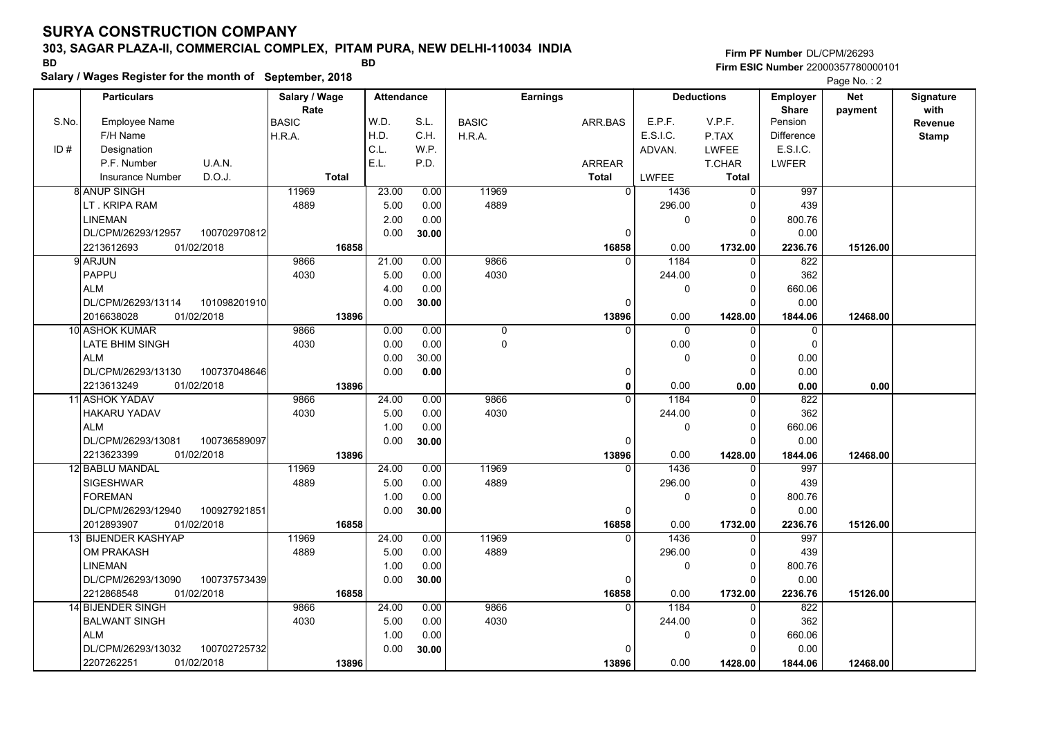#### **303, SAGAR PLAZA-II, COMMERCIAL COMPLEX, PITAM PURA, NEW DELHI-110034 INDIA**

**Salary / Wages Register for the month of September, 2018 BD BD**

**Firm PF Number**DL/CPM/26293**Firm ESIC Number** 22000357780000101

|       | <b>Particulars</b>                 | Salary / Wage        |              | <b>Attendance</b> |       |              | <b>Earnings</b> |                  | <b>Deductions</b> | <b>Employer</b>  | <b>Net</b> | Signature       |
|-------|------------------------------------|----------------------|--------------|-------------------|-------|--------------|-----------------|------------------|-------------------|------------------|------------|-----------------|
| S.No. | Employee Name                      | Rate<br><b>BASIC</b> |              | W.D.              | S.L.  | <b>BASIC</b> | ARR.BAS         | E.P.F.           | V.P.F.            | Share<br>Pension | payment    | with<br>Revenue |
|       | F/H Name                           | H.R.A.               |              | H.D.              | C.H.  | H.R.A.       |                 | E.S.I.C.         | P.TAX             | Difference       |            | <b>Stamp</b>    |
| ID#   | Designation                        |                      |              | C.L.              | W.P.  |              |                 | ADVAN.           | <b>LWFEE</b>      | E.S.I.C.         |            |                 |
|       | U.A.N.<br>P.F. Number              |                      |              | E.L.              | P.D.  |              | <b>ARREAR</b>   |                  | T.CHAR            | <b>LWFER</b>     |            |                 |
|       | D.O.J.<br><b>Insurance Number</b>  |                      | <b>Total</b> |                   |       |              | <b>Total</b>    | LWFEE            | <b>Total</b>      |                  |            |                 |
|       | 8 ANUP SINGH                       | 11969                |              | 23.00             | 0.00  | 11969        |                 | 0<br>1436        | 0                 | 997              |            |                 |
|       | LT. KRIPA RAM                      | 4889                 |              | 5.00              | 0.00  | 4889         |                 | 296.00           | $\Omega$          | 439              |            |                 |
|       | <b>LINEMAN</b>                     |                      |              |                   |       |              |                 | $\mathbf 0$      |                   |                  |            |                 |
|       |                                    |                      |              | 2.00              | 0.00  |              |                 |                  | 0<br>$\Omega$     | 800.76           |            |                 |
|       | DL/CPM/26293/12957<br>100702970812 |                      |              | 0.00              | 30.00 |              |                 | $\mathbf 0$      |                   | 0.00             |            |                 |
|       | 2213612693<br>01/02/2018           |                      | 16858        |                   |       |              | 16858           | 0.00<br>1184     | 1732.00           | 2236.76          | 15126.00   |                 |
|       | 9 ARJUN                            | 9866                 |              | 21.00             | 0.00  | 9866<br>4030 |                 | $\Omega$         | $\Omega$          | 822              |            |                 |
|       | PAPPU                              | 4030                 |              | 5.00              | 0.00  |              |                 | 244.00           | $\Omega$          | 362              |            |                 |
|       | <b>ALM</b>                         |                      |              | 4.00              | 0.00  |              |                 | 0                | $\Omega$          | 660.06           |            |                 |
|       | DL/CPM/26293/13114<br>101098201910 |                      |              | 0.00              | 30.00 |              |                 | $\Omega$         | $\Omega$          | 0.00             |            |                 |
|       | 2016638028<br>01/02/2018           |                      | 13896        |                   |       |              | 13896           | 0.00             | 1428.00           | 1844.06          | 12468.00   |                 |
|       | 10 ASHOK KUMAR                     | 9866                 |              | 0.00              | 0.00  | 0            |                 | $\Omega$<br>0    | $\mathbf 0$       | 0                |            |                 |
|       | <b>LATE BHIM SINGH</b>             | 4030                 |              | 0.00              | 0.00  | 0            |                 | 0.00             | $\Omega$          | $\mathbf 0$      |            |                 |
|       | <b>ALM</b>                         |                      |              | 0.00              | 30.00 |              |                 | 0                | $\Omega$          | 0.00             |            |                 |
|       | DL/CPM/26293/13130<br>100737048646 |                      |              | 0.00              | 0.00  |              |                 | $\mathbf 0$      | $\Omega$          | 0.00             |            |                 |
|       | 2213613249<br>01/02/2018           |                      | 13896        |                   |       |              |                 | 0.00<br>0        | 0.00              | 0.00             | 0.00       |                 |
|       | 11 ASHOK YADAV                     | 9866                 |              | 24.00             | 0.00  | 9866         |                 | 1184             | $\Omega$          | 822              |            |                 |
|       | <b>HAKARU YADAV</b>                | 4030                 |              | 5.00              | 0.00  | 4030         |                 | 244.00           | $\Omega$          | 362              |            |                 |
|       | <b>ALM</b>                         |                      |              | 1.00              | 0.00  |              |                 | $\mathbf 0$      | $\Omega$          | 660.06           |            |                 |
|       | 100736589097<br>DL/CPM/26293/13081 |                      |              | 0.00              | 30.00 |              |                 | 0                | $\Omega$          | 0.00             |            |                 |
|       | 2213623399<br>01/02/2018           |                      | 13896        |                   |       |              | 13896           | 0.00             | 1428.00           | 1844.06          | 12468.00   |                 |
|       | 12 BABLU MANDAL                    | 11969                |              | 24.00             | 0.00  | 11969        |                 | 1436<br>$\Omega$ | $\Omega$          | 997              |            |                 |
|       | <b>SIGESHWAR</b>                   | 4889                 |              | 5.00              | 0.00  | 4889         |                 | 296.00           | $\Omega$          | 439              |            |                 |
|       | <b>FOREMAN</b>                     |                      |              | 1.00              | 0.00  |              |                 | 0                | $\mathbf 0$       | 800.76           |            |                 |
|       | DL/CPM/26293/12940<br>100927921851 |                      |              | 0.00              | 30.00 |              |                 | 0                | $\Omega$          | 0.00             |            |                 |
|       | 2012893907<br>01/02/2018           |                      | 16858        |                   |       |              | 16858           | 0.00             | 1732.00           | 2236.76          | 15126.00   |                 |
|       | 13 BIJENDER KASHYAP                | 11969                |              | 24.00             | 0.00  | 11969        |                 | 1436<br>$\Omega$ | $\Omega$          | 997              |            |                 |
|       | OM PRAKASH                         | 4889                 |              | 5.00              | 0.00  | 4889         |                 | 296.00           | $\Omega$          | 439              |            |                 |
|       | <b>LINEMAN</b>                     |                      |              | 1.00              | 0.00  |              |                 | 0                | 0                 | 800.76           |            |                 |
|       | 100737573439<br>DL/CPM/26293/13090 |                      |              | 0.00              | 30.00 |              |                 | 0                | $\Omega$          | 0.00             |            |                 |
|       | 2212868548<br>01/02/2018           |                      | 16858        |                   |       |              | 16858           | 0.00             | 1732.00           | 2236.76          | 15126.00   |                 |
|       | 14 BIJENDER SINGH                  | 9866                 |              | 24.00             | 0.00  | 9866         |                 | 1184<br>$\Omega$ | $\Omega$          | 822              |            |                 |
|       | <b>BALWANT SINGH</b>               | 4030                 |              | 5.00              | 0.00  | 4030         |                 | 244.00           | $\Omega$          | 362              |            |                 |
|       | <b>ALM</b>                         |                      |              | 1.00              | 0.00  |              |                 | 0                | 0                 | 660.06           |            |                 |
|       | DL/CPM/26293/13032<br>100702725732 |                      |              | 0.00              | 30.00 |              |                 | $\Omega$         | $\Omega$          | 0.00             |            |                 |
|       | 2207262251<br>01/02/2018           |                      | 13896        |                   |       |              | 13896           | 0.00             | 1428.00           | 1844.06          | 12468.00   |                 |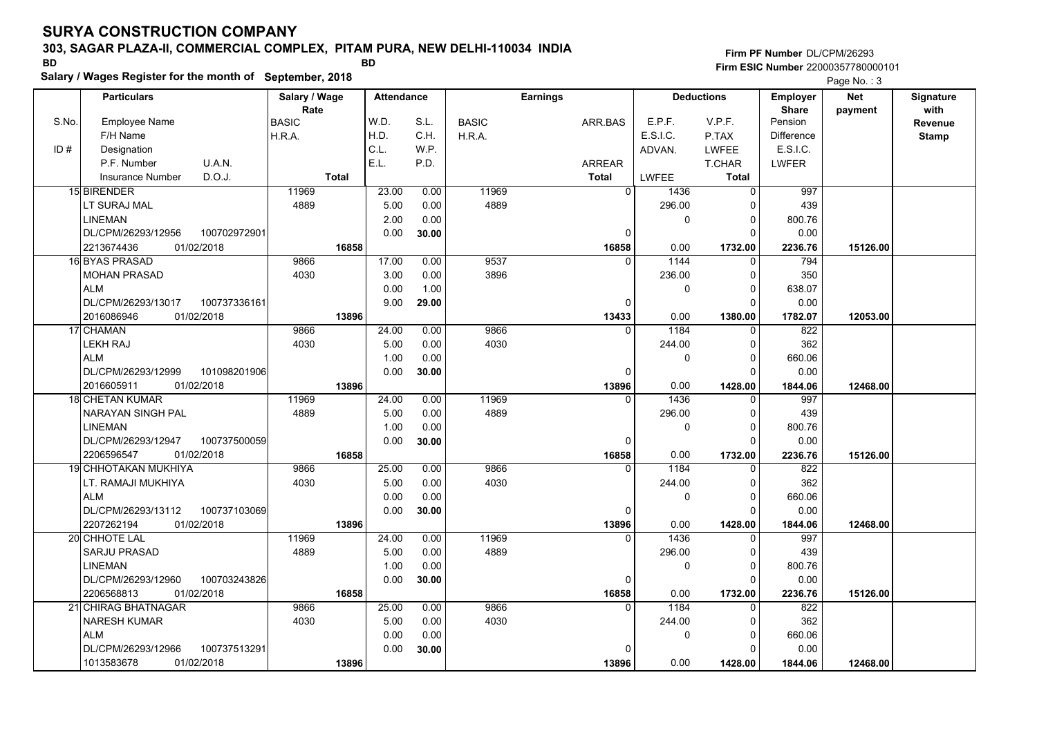### **303, SAGAR PLAZA-II, COMMERCIAL COMPLEX, PITAM PURA, NEW DELHI-110034 INDIA**

**Salary / Wages Register for the month of September, 2018 BD BD**

**Firm PF Number**DL/CPM/26293**Firm ESIC Number** 22000357780000101

|       | <b>Particulars</b>                 | Salary / Wage        | <b>Attendance</b> |       |              | <b>Earnings</b> |                        | <b>Deductions</b> | Employer                | <b>Net</b> | Signature<br>with |
|-------|------------------------------------|----------------------|-------------------|-------|--------------|-----------------|------------------------|-------------------|-------------------------|------------|-------------------|
| S.No. | Employee Name                      | Rate<br><b>BASIC</b> | W.D.              | S.L.  | <b>BASIC</b> | ARR.BAS         | E.P.F.                 | V.P.F.            | <b>Share</b><br>Pension | payment    | Revenue           |
|       | F/H Name                           | H.R.A.               | H.D.              | C.H.  | H.R.A.       |                 | E.S.I.C.               | P.TAX             | <b>Difference</b>       |            | <b>Stamp</b>      |
| ID#   | Designation                        |                      | C.L.              | W.P.  |              |                 | ADVAN.                 | <b>LWFEE</b>      | E.S.I.C.                |            |                   |
|       | U.A.N.<br>P.F. Number              |                      | E.L.              | P.D.  |              | ARREAR          |                        | T.CHAR            | <b>LWFER</b>            |            |                   |
|       | D.O.J.<br>Insurance Number         | <b>Total</b>         |                   |       |              | <b>Total</b>    | <b>LWFEE</b>           | Total             |                         |            |                   |
|       | 15 BIRENDER                        | 11969                | 23.00             | 0.00  | 11969        |                 | $\overline{0}$<br>1436 | 0                 | 997                     |            |                   |
|       | LT SURAJ MAL                       | 4889                 | 5.00              | 0.00  | 4889         |                 | 296.00                 | 0                 | 439                     |            |                   |
|       | <b>LINEMAN</b>                     |                      | 2.00              | 0.00  |              |                 | 0                      | $\Omega$          | 800.76                  |            |                   |
|       | DL/CPM/26293/12956<br>100702972901 |                      | 0.00              | 30.00 |              |                 | $\Omega$               | $\Omega$          | 0.00                    |            |                   |
|       | 2213674436<br>01/02/2018           | 16858                |                   |       |              | 16858           | 0.00                   | 1732.00           | 2236.76                 | 15126.00   |                   |
|       | 16 BYAS PRASAD                     | 9866                 | 17.00             | 0.00  | 9537         |                 | 1144<br>$\Omega$       | $\mathbf 0$       | 794                     |            |                   |
|       | <b>MOHAN PRASAD</b>                | 4030                 | 3.00              | 0.00  | 3896         |                 | 236.00                 | $\Omega$          | 350                     |            |                   |
|       | <b>ALM</b>                         |                      | 0.00              | 1.00  |              |                 | 0                      | $\Omega$          | 638.07                  |            |                   |
|       | DL/CPM/26293/13017<br>100737336161 |                      | 9.00              | 29.00 |              |                 | $\Omega$               | $\Omega$          | 0.00                    |            |                   |
|       | 2016086946<br>01/02/2018           | 13896                |                   |       |              | 13433           | 0.00                   | 1380.00           | 1782.07                 | 12053.00   |                   |
|       | 17 CHAMAN                          | 9866                 | 24.00             | 0.00  | 9866         |                 | 1184<br>$\Omega$       | $\mathbf 0$       | 822                     |            |                   |
|       | <b>LEKH RAJ</b>                    | 4030                 | 5.00              | 0.00  | 4030         |                 | 244.00                 | $\Omega$          | 362                     |            |                   |
|       | <b>ALM</b>                         |                      | 1.00              | 0.00  |              |                 | 0                      | $\Omega$          | 660.06                  |            |                   |
|       | DL/CPM/26293/12999<br>101098201906 |                      | 0.00              | 30.00 |              |                 | $\Omega$               | $\Omega$          | 0.00                    |            |                   |
|       | 2016605911<br>01/02/2018           | 13896                |                   |       |              | 13896           | 0.00                   | 1428.00           | 1844.06                 | 12468.00   |                   |
|       | 18 CHETAN KUMAR                    | 11969                | 24.00             | 0.00  | 11969        |                 | 1436<br>$\Omega$       | 0                 | 997                     |            |                   |
|       | <b>NARAYAN SINGH PAL</b>           | 4889                 | 5.00              | 0.00  | 4889         |                 | 296.00                 | $\Omega$          | 439                     |            |                   |
|       | <b>LINEMAN</b>                     |                      | 1.00              | 0.00  |              |                 | 0                      | $\Omega$          | 800.76                  |            |                   |
|       | 100737500059<br>DL/CPM/26293/12947 |                      | 0.00              | 30.00 |              |                 | $\Omega$               | $\Omega$          | 0.00                    |            |                   |
|       | 01/02/2018<br>2206596547           | 16858                |                   |       |              | 16858           | 0.00                   | 1732.00           | 2236.76                 | 15126.00   |                   |
|       | 19 CHHOTAKAN MUKHIYA               | 9866                 | 25.00             | 0.00  | 9866         |                 | 1184<br>$\Omega$       | $\Omega$          | 822                     |            |                   |
|       | LT. RAMAJI MUKHIYA                 | 4030                 | 5.00              | 0.00  | 4030         |                 | 244.00                 | $\Omega$          | 362                     |            |                   |
|       | <b>ALM</b>                         |                      | 0.00              | 0.00  |              |                 | 0                      | $\Omega$          | 660.06                  |            |                   |
|       | DL/CPM/26293/13112<br>100737103069 |                      | 0.00              | 30.00 |              |                 | 0                      | $\Omega$          | 0.00                    |            |                   |
|       | 2207262194<br>01/02/2018           | 13896                |                   |       |              | 13896           | 0.00                   | 1428.00           | 1844.06                 | 12468.00   |                   |
|       | 20 CHHOTE LAL                      | 11969                | 24.00             | 0.00  | 11969        |                 | 1436<br>$\Omega$       | $\Omega$          | 997                     |            |                   |
|       | <b>SARJU PRASAD</b>                | 4889                 | 5.00              | 0.00  | 4889         |                 | 296.00                 | 0                 | 439                     |            |                   |
|       | <b>LINEMAN</b>                     |                      | 1.00              | 0.00  |              |                 | 0                      | $\Omega$          | 800.76                  |            |                   |
|       | 100703243826<br>DL/CPM/26293/12960 |                      | 0.00              | 30.00 |              |                 | 0                      | $\Omega$          | 0.00                    |            |                   |
|       | 2206568813<br>01/02/2018           | 16858                |                   |       |              | 16858           | 0.00                   | 1732.00           | 2236.76                 | 15126.00   |                   |
|       | 21 CHIRAG BHATNAGAR                | 9866                 | 25.00             | 0.00  | 9866         |                 | 1184<br>$\Omega$       | $\Omega$          | 822                     |            |                   |
|       | <b>NARESH KUMAR</b>                | 4030                 | 5.00              | 0.00  | 4030         |                 | 244.00                 | 0                 | 362                     |            |                   |
|       | <b>ALM</b>                         |                      | 0.00              | 0.00  |              |                 | 0                      | $\Omega$          | 660.06                  |            |                   |
|       | DL/CPM/26293/12966<br>100737513291 |                      | 0.00              | 30.00 |              |                 | $\Omega$               | $\Omega$          | 0.00                    |            |                   |
|       | 1013583678<br>01/02/2018           | 13896                |                   |       |              | 13896           | 0.00                   | 1428.00           | 1844.06                 | 12468.00   |                   |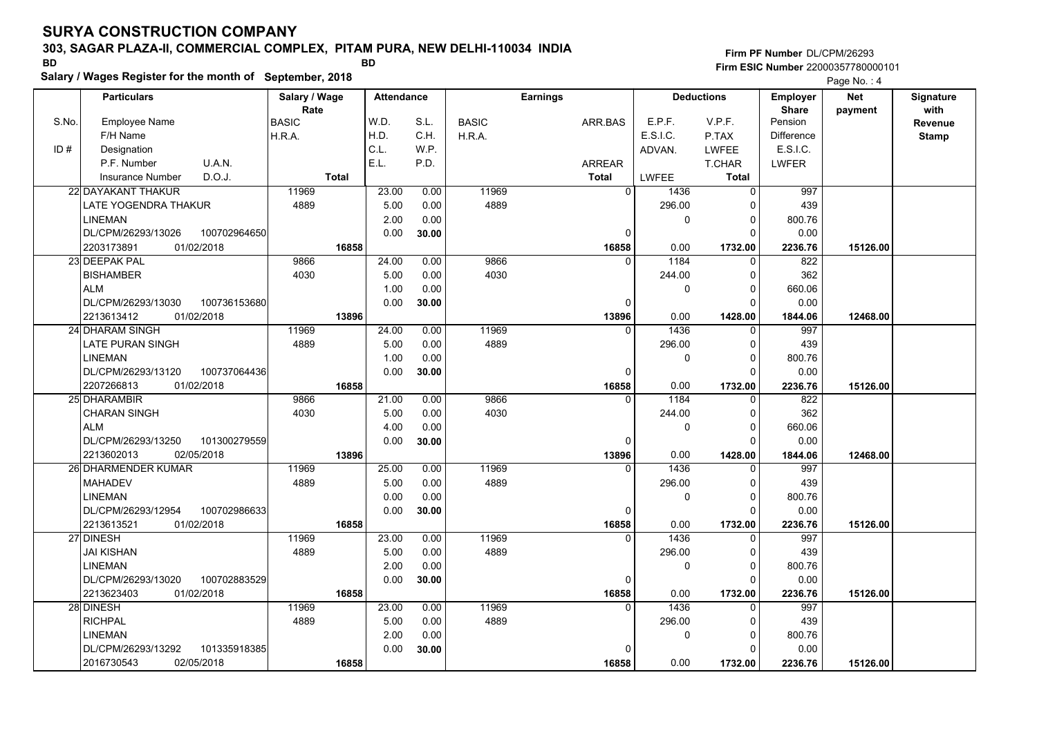#### **303, SAGAR PLAZA-II, COMMERCIAL COMPLEX, PITAM PURA, NEW DELHI-110034 INDIA**

**Salary / Wages Register for the month of September, 2018 BD BD**

### **Firm PF Number**DL/CPM/26293**Firm ESIC Number** 22000357780000101

|       | <b>Particulars</b>                 | Salary / Wage          | <b>Attendance</b> |       |              | <b>Earnings</b> |                        | <b>Deductions</b>    | Employer                | <b>Net</b> | Signature    |
|-------|------------------------------------|------------------------|-------------------|-------|--------------|-----------------|------------------------|----------------------|-------------------------|------------|--------------|
| S.No. | <b>Employee Name</b>               | Rate                   | W.D.              | S.L.  | <b>BASIC</b> |                 | E.P.F.                 | V.P.F.               | <b>Share</b><br>Pension | payment    | with         |
|       | F/H Name                           | <b>BASIC</b><br>H.R.A. | H.D.              | C.H.  |              | ARR.BAS         | E.S.I.C.               | P.TAX                | <b>Difference</b>       |            | Revenue      |
| ID#   | Designation                        |                        | C.L.              | W.P.  | H.R.A.       |                 | ADVAN.                 | <b>LWFEE</b>         | E.S.I.C.                |            | <b>Stamp</b> |
|       | U.A.N.<br>P.F. Number              |                        | E.L.              | P.D.  |              | <b>ARREAR</b>   |                        | T.CHAR               | LWFER                   |            |              |
|       | D.O.J.<br><b>Insurance Number</b>  | <b>Total</b>           |                   |       |              | <b>Total</b>    | <b>LWFEE</b>           | <b>Total</b>         |                         |            |              |
|       |                                    | 11969                  |                   |       | 11969        |                 | $\Omega$               |                      |                         |            |              |
|       | 22 DAYAKANT THAKUR                 |                        | 23.00             | 0.00  |              |                 | 1436                   | $\mathbf 0$          | 997                     |            |              |
|       | LATE YOGENDRA THAKUR               | 4889                   | 5.00              | 0.00  | 4889         |                 | 296.00                 | $\Omega$             | 439                     |            |              |
|       | <b>LINEMAN</b>                     |                        | 2.00              | 0.00  |              |                 | 0                      | $\Omega$<br>$\Omega$ | 800.76                  |            |              |
|       | DL/CPM/26293/13026<br>100702964650 |                        | 0.00              | 30.00 |              | $\mathbf 0$     |                        |                      | 0.00                    |            |              |
|       | 2203173891<br>01/02/2018           | 16858                  |                   |       |              | 16858           | 0.00                   | 1732.00              | 2236.76                 | 15126.00   |              |
|       | 23 DEEPAK PAL                      | 9866                   | 24.00             | 0.00  | 9866         |                 | 1184<br>$\Omega$       | $\mathbf{0}$         | 822                     |            |              |
|       | <b>BISHAMBER</b>                   | 4030                   | 5.00              | 0.00  | 4030         |                 | 244.00                 | $\Omega$             | 362                     |            |              |
|       | <b>ALM</b>                         |                        | 1.00              | 0.00  |              |                 | 0                      | $\Omega$             | 660.06                  |            |              |
|       | DL/CPM/26293/13030<br>100736153680 |                        | 0.00              | 30.00 |              | $\Omega$        |                        | $\Omega$             | 0.00                    |            |              |
|       | 01/02/2018<br>2213613412           | 13896                  |                   |       |              | 13896           | 0.00                   | 1428.00              | 1844.06                 | 12468.00   |              |
|       | 24 DHARAM SINGH                    | 11969                  | 24.00             | 0.00  | 11969        |                 | $\Omega$<br>1436       | $\mathbf{0}$         | 997                     |            |              |
|       | LATE PURAN SINGH                   | 4889                   | 5.00              | 0.00  | 4889         |                 | 296.00                 | $\Omega$             | 439                     |            |              |
|       | <b>LINEMAN</b>                     |                        | 1.00              | 0.00  |              |                 | 0                      | $\Omega$             | 800.76                  |            |              |
|       | DL/CPM/26293/13120<br>100737064436 |                        | 0.00              | 30.00 |              | $\Omega$        |                        | $\Omega$             | 0.00                    |            |              |
|       | 2207266813<br>01/02/2018           | 16858                  |                   |       |              | 16858           | 0.00                   | 1732.00              | 2236.76                 | 15126.00   |              |
|       | 25 DHARAMBIR                       | 9866                   | 21.00             | 0.00  | 9866         | $\Omega$        | 1184                   | 0                    | 822                     |            |              |
|       | <b>CHARAN SINGH</b>                | 4030                   | 5.00              | 0.00  | 4030         |                 | 244.00                 | $\Omega$             | 362                     |            |              |
|       | <b>ALM</b>                         |                        | 4.00              | 0.00  |              |                 | $\mathbf 0$            | $\Omega$             | 660.06                  |            |              |
|       | DL/CPM/26293/13250<br>101300279559 |                        | 0.00              | 30.00 |              | $\Omega$        |                        | $\Omega$             | 0.00                    |            |              |
|       | 2213602013<br>02/05/2018           | 13896                  |                   |       |              | 13896           | 0.00                   | 1428.00              | 1844.06                 | 12468.00   |              |
|       | 26 DHARMENDER KUMAR                | 11969                  | 25.00             | 0.00  | 11969        |                 | $\overline{0}$<br>1436 | $\Omega$             | 997                     |            |              |
|       | <b>MAHADEV</b>                     | 4889                   | 5.00              | 0.00  | 4889         |                 | 296.00                 | $\Omega$             | 439                     |            |              |
|       | <b>LINEMAN</b>                     |                        | 0.00              | 0.00  |              |                 | 0                      | $\Omega$             | 800.76                  |            |              |
|       | DL/CPM/26293/12954<br>100702986633 |                        | 0.00              | 30.00 |              | $\pmb{0}$       |                        | $\Omega$             | 0.00                    |            |              |
|       | 2213613521<br>01/02/2018           | 16858                  |                   |       |              | 16858           | 0.00                   | 1732.00              | 2236.76                 | 15126.00   |              |
|       | 27 DINESH                          | 11969                  | 23.00             | 0.00  | 11969        |                 | 1436<br>$\Omega$       | $\mathbf{0}$         | 997                     |            |              |
|       | <b>JAI KISHAN</b>                  | 4889                   | 5.00              | 0.00  | 4889         |                 | 296.00                 | $\Omega$             | 439                     |            |              |
|       | <b>LINEMAN</b>                     |                        | 2.00              | 0.00  |              |                 | 0                      | $\Omega$             | 800.76                  |            |              |
|       | 100702883529<br>DL/CPM/26293/13020 |                        | 0.00              | 30.00 |              | 0               |                        | $\Omega$             | 0.00                    |            |              |
|       | 2213623403<br>01/02/2018           | 16858                  |                   |       |              | 16858           | 0.00                   | 1732.00              | 2236.76                 | 15126.00   |              |
|       | 28 DINESH                          | 11969                  | 23.00             | 0.00  | 11969        |                 | 1436<br>$\Omega$       | $\Omega$             | 997                     |            |              |
|       | <b>RICHPAL</b>                     | 4889                   | 5.00              | 0.00  | 4889         |                 | 296.00                 | $\Omega$             | 439                     |            |              |
|       | <b>LINEMAN</b>                     |                        | 2.00              | 0.00  |              |                 | 0                      | $\Omega$             | 800.76                  |            |              |
|       | DL/CPM/26293/13292<br>101335918385 |                        | 0.00              | 30.00 |              | 0               |                        | $\Omega$             | 0.00                    |            |              |
|       | 2016730543<br>02/05/2018           | 16858                  |                   |       |              | 16858           | 0.00                   | 1732.00              | 2236.76                 | 15126.00   |              |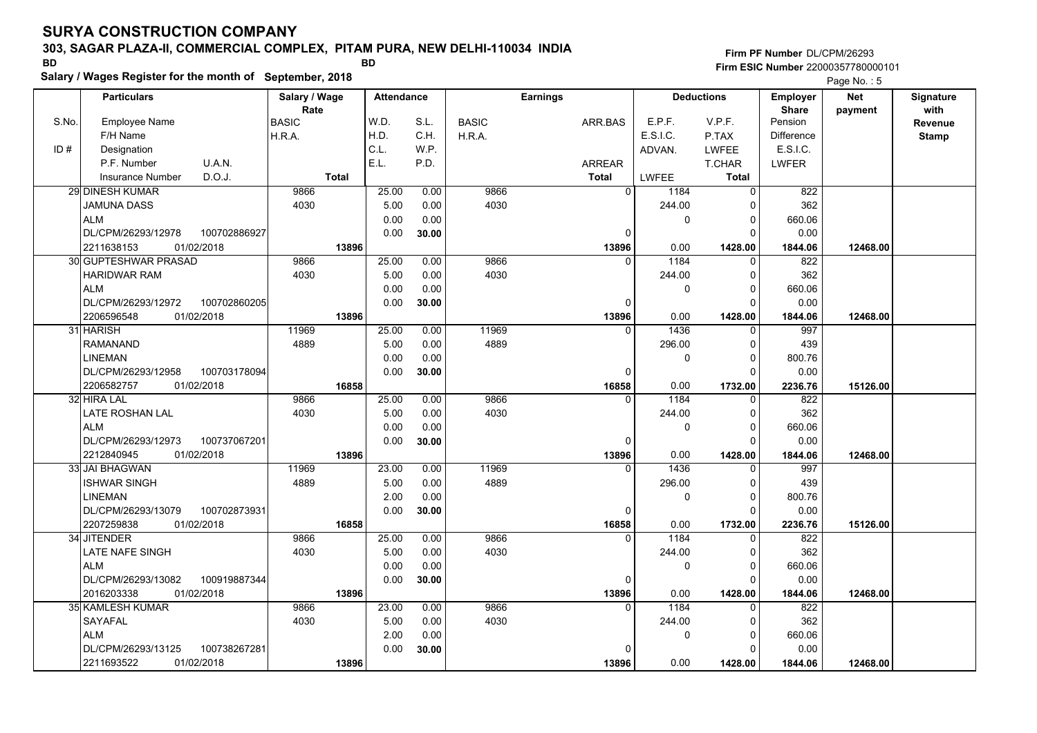### **303, SAGAR PLAZA-II, COMMERCIAL COMPLEX, PITAM PURA, NEW DELHI-110034 INDIA**

**Salary / Wages Register for the month of September, 2018 BD BD**

### **Firm PF Number**DL/CPM/26293**Firm ESIC Number** 22000357780000101

|       | <b>Particulars</b>                                             | Salary / Wage        | <b>Attendance</b> |               |              | <b>Earnings</b>   |              | <b>Deductions</b>       | Employer                | <b>Net</b> | Signature       |
|-------|----------------------------------------------------------------|----------------------|-------------------|---------------|--------------|-------------------|--------------|-------------------------|-------------------------|------------|-----------------|
| S.No. | <b>Employee Name</b>                                           | Rate<br><b>BASIC</b> | W.D.              | S.L.          | <b>BASIC</b> | ARR.BAS           | E.P.F.       | V.P.F.                  | <b>Share</b><br>Pension | payment    | with<br>Revenue |
|       | F/H Name                                                       | H.R.A.               | H.D.              | C.H.          | H.R.A.       |                   | E.S.I.C.     | P.TAX                   | <b>Difference</b>       |            | <b>Stamp</b>    |
| ID#   | Designation                                                    |                      | C.L.              | W.P.          |              |                   | ADVAN.       | <b>LWFEE</b>            | E.S.I.C.                |            |                 |
|       | U.A.N.<br>P.F. Number                                          |                      | E.L.              | P.D.          |              | <b>ARREAR</b>     |              | T.CHAR                  | <b>LWFER</b>            |            |                 |
|       | D.O.J.<br><b>Insurance Number</b>                              | <b>Total</b>         |                   |               |              | <b>Total</b>      | <b>LWFEE</b> | <b>Total</b>            |                         |            |                 |
|       | <b>29 DINESH KUMAR</b>                                         | 9866                 | 25.00             | 0.00          | 9866         | $\overline{0}$    | 1184         | 0                       | 822                     |            |                 |
|       | JAMUNA DASS                                                    | 4030                 | 5.00              | 0.00          | 4030         |                   | 244.00       | 0                       | 362                     |            |                 |
|       | <b>ALM</b>                                                     |                      | 0.00              | 0.00          |              |                   | 0            | 0                       | 660.06                  |            |                 |
|       | DL/CPM/26293/12978<br>100702886927                             |                      | 0.00              | 30.00         |              | $\Omega$          |              | $\Omega$                | 0.00                    |            |                 |
|       | 01/02/2018<br>2211638153                                       | 13896                |                   |               |              | 13896             | 0.00         | 1428.00                 | 1844.06                 | 12468.00   |                 |
|       | 30 GUPTESHWAR PRASAD                                           | 9866                 | 25.00             | 0.00          | 9866         | $\Omega$          | 1184         | $\mathbf 0$             | 822                     |            |                 |
|       | <b>HARIDWAR RAM</b>                                            | 4030                 | 5.00              | 0.00          | 4030         |                   | 244.00       | 0                       | 362                     |            |                 |
|       | <b>ALM</b>                                                     |                      |                   |               |              |                   |              | $\mathbf 0$             | 660.06                  |            |                 |
|       | DL/CPM/26293/12972<br>100702860205                             |                      | 0.00<br>0.00      | 0.00<br>30.00 |              | $\Omega$          | 0            | $\Omega$                | 0.00                    |            |                 |
|       | 01/02/2018<br>2206596548                                       | 13896                |                   |               |              | 13896             | 0.00         | 1428.00                 |                         | 12468.00   |                 |
|       | 31 HARISH                                                      | 11969                | 25.00             | 0.00          | 11969        | $\Omega$          | 1436         | $\Omega$                | 1844.06<br>997          |            |                 |
|       | <b>RAMANAND</b>                                                | 4889                 | 5.00              | 0.00          | 4889         |                   |              | $\Omega$                |                         |            |                 |
|       | <b>LINEMAN</b>                                                 |                      | 0.00              | 0.00          |              |                   | 296.00       | $\Omega$                | 439                     |            |                 |
|       | DL/CPM/26293/12958<br>100703178094                             |                      |                   |               |              | $\Omega$          | 0            | $\Omega$                | 800.76                  |            |                 |
|       | 2206582757<br>01/02/2018                                       | 16858                | 0.00              | 30.00         |              | 16858             | 0.00         | 1732.00                 | 0.00<br>2236.76         | 15126.00   |                 |
|       | 32 HIRA LAL                                                    | 9866                 | 25.00             | 0.00          | 9866         | $\Omega$          | 1184         | 0                       | 822                     |            |                 |
|       | LATE ROSHAN LAL                                                | 4030                 | 5.00              | 0.00          | 4030         |                   | 244.00       | $\mathbf 0$             | 362                     |            |                 |
|       | <b>ALM</b>                                                     |                      | 0.00              | 0.00          |              |                   | 0            | $\Omega$                | 660.06                  |            |                 |
|       | DL/CPM/26293/12973<br>100737067201                             |                      | 0.00              |               |              | $\Omega$          |              | $\Omega$                | 0.00                    |            |                 |
|       | 2212840945<br>01/02/2018                                       | 13896                |                   | 30.00         |              | 13896             | 0.00         | 1428.00                 |                         | 12468.00   |                 |
|       | 33 JAI BHAGWAN                                                 | 11969                | 23.00             | 0.00          | 11969        | $\Omega$          | 1436         | $\Omega$                | 1844.06<br>997          |            |                 |
|       | ISHWAR SINGH                                                   | 4889                 | 5.00              | 0.00          | 4889         |                   | 296.00       | $\Omega$                | 439                     |            |                 |
|       | <b>LINEMAN</b>                                                 |                      | 2.00              | 0.00          |              |                   | 0            | $\mathbf 0$             | 800.76                  |            |                 |
|       | DL/CPM/26293/13079<br>100702873931                             |                      | 0.00              |               |              |                   |              | $\Omega$                | 0.00                    |            |                 |
|       | 01/02/2018<br>2207259838                                       |                      |                   | 30.00         |              | 0                 | 0.00         |                         |                         |            |                 |
|       | 34 JITENDER                                                    | 16858<br>9866        | 25.00             | 0.00          | 9866         | 16858<br>$\Omega$ | 1184         | 1732.00<br>$\Omega$     | 2236.76<br>822          | 15126.00   |                 |
|       | LATE NAFE SINGH                                                | 4030                 | 5.00              | 0.00          | 4030         |                   | 244.00       | 0                       | 362                     |            |                 |
|       | <b>ALM</b>                                                     |                      | 0.00              | 0.00          |              |                   |              | $\Omega$                |                         |            |                 |
|       |                                                                |                      |                   |               |              |                   | 0            | $\Omega$                | 660.06                  |            |                 |
|       | DL/CPM/26293/13082<br>100919887344<br>2016203338<br>01/02/2018 |                      | 0.00              | 30.00         |              | 0                 |              |                         | 0.00                    |            |                 |
|       | 35 KAMLESH KUMAR                                               | 13896<br>9866        | 23.00             | 0.00          | 9866         | 13896<br>$\Omega$ | 0.00<br>1184 | 1428.00<br>$\Omega$     | 1844.06<br>822          | 12468.00   |                 |
|       |                                                                | 4030                 | 5.00              |               | 4030         |                   | 244.00       |                         | 362                     |            |                 |
|       | SAYAFAL                                                        |                      |                   | 0.00          |              |                   |              | 0                       |                         |            |                 |
|       | <b>ALM</b>                                                     |                      | 2.00              | 0.00          |              | $\Omega$          | 0            | $\mathbf 0$<br>$\Omega$ | 660.06                  |            |                 |
|       | DL/CPM/26293/13125<br>100738267281                             |                      | 0.00              | 30.00         |              |                   |              |                         | 0.00                    |            |                 |
|       | 01/02/2018<br>2211693522                                       | 13896                |                   |               |              | 13896             | 0.00         | 1428.00                 | 1844.06                 | 12468.00   |                 |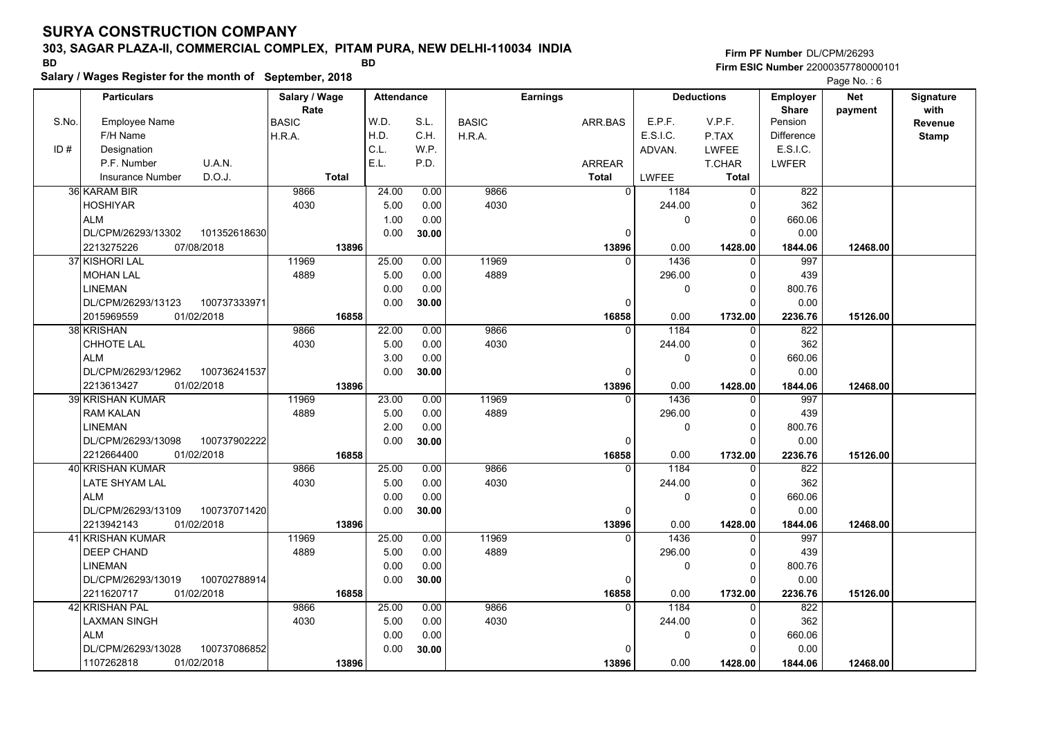### **303, SAGAR PLAZA-II, COMMERCIAL COMPLEX, PITAM PURA, NEW DELHI-110034 INDIA**

**Salary / Wages Register for the month of September, 2018 BD BD**

**Firm PF Number**DL/CPM/26293**Firm ESIC Number** 22000357780000101

|       | <b>Particulars</b>                               | Salary / Wage        | <b>Attendance</b> |              |              | <b>Earnings</b> |                          | <b>Deductions</b>   | Employer                | <b>Net</b> | Signature<br>with |
|-------|--------------------------------------------------|----------------------|-------------------|--------------|--------------|-----------------|--------------------------|---------------------|-------------------------|------------|-------------------|
| S.No. | Employee Name                                    | Rate<br><b>BASIC</b> | W.D.              | S.L.         | <b>BASIC</b> | ARR.BAS         | E.P.F.                   | V.P.F.              | <b>Share</b><br>Pension | payment    | Revenue           |
|       | F/H Name                                         | H.R.A.               | H.D.              | C.H.         | H.R.A.       |                 | E.S.I.C.                 | P.TAX               | <b>Difference</b>       |            | <b>Stamp</b>      |
| ID#   | Designation                                      |                      | C.L.              | W.P.         |              |                 | ADVAN.                   | <b>LWFEE</b>        | E.S.I.C.                |            |                   |
|       | U.A.N.<br>P.F. Number                            |                      | E.L.              | P.D.         |              | ARREAR          |                          | T.CHAR              | <b>LWFER</b>            |            |                   |
|       | D.O.J.<br>Insurance Number                       | <b>Total</b>         |                   |              |              | <b>Total</b>    | <b>LWFEE</b>             | Total               |                         |            |                   |
|       | 36 KARAM BIR                                     | 9866                 | 24.00             | 0.00         | 9866         |                 | $\Omega$<br>1184         | 0                   | 822                     |            |                   |
|       | <b>HOSHIYAR</b>                                  | 4030                 | 5.00              | 0.00         | 4030         |                 | 244.00                   | 0                   | 362                     |            |                   |
|       | <b>ALM</b>                                       |                      | 1.00              | 0.00         |              |                 | 0                        | $\Omega$            | 660.06                  |            |                   |
|       | DL/CPM/26293/13302<br>101352618630               |                      | 0.00              | 30.00        |              | $\Omega$        |                          | $\Omega$            | 0.00                    |            |                   |
|       | 2213275226<br>07/08/2018                         | 13896                |                   |              |              | 13896           | 0.00                     | 1428.00             | 1844.06                 | 12468.00   |                   |
|       | 37 KISHORI LAL                                   | 11969                | 25.00             | 0.00         | 11969        |                 | 1436<br>$\Omega$         | $\mathbf 0$         | 997                     |            |                   |
|       | <b>MOHAN LAL</b>                                 | 4889                 | 5.00              | 0.00         | 4889         |                 | 296.00                   | $\Omega$            | 439                     |            |                   |
|       | <b>LINEMAN</b>                                   |                      | 0.00              | 0.00         |              |                 | 0                        | $\Omega$            | 800.76                  |            |                   |
|       | DL/CPM/26293/13123<br>100737333971               |                      | 0.00              | 30.00        |              | 0               |                          | $\Omega$            | 0.00                    |            |                   |
|       | 2015969559<br>01/02/2018                         | 16858                |                   |              |              | 16858           | 0.00                     | 1732.00             | 2236.76                 | 15126.00   |                   |
|       | 38 KRISHAN                                       | 9866                 | 22.00             | 0.00         | 9866         | $\Omega$        | 1184                     | 0                   | 822                     |            |                   |
|       | <b>CHHOTE LAL</b>                                | 4030                 | 5.00              | 0.00         | 4030         |                 | 244.00                   | $\Omega$            | 362                     |            |                   |
|       | <b>ALM</b>                                       |                      | 3.00              | 0.00         |              |                 | 0                        | $\Omega$            | 660.06                  |            |                   |
|       | DL/CPM/26293/12962<br>100736241537               |                      | 0.00              | 30.00        |              | $\Omega$        |                          | $\Omega$            | 0.00                    |            |                   |
|       | 2213613427<br>01/02/2018                         | 13896                |                   |              |              | 13896           | 0.00                     | 1428.00             | 1844.06                 | 12468.00   |                   |
|       | 39 KRISHAN KUMAR                                 | 11969                | 23.00             | 0.00         | 11969        | $\Omega$        | 1436                     | 0                   | 997                     |            |                   |
|       | <b>RAM KALAN</b>                                 | 4889                 | 5.00              | 0.00         | 4889         |                 | 296.00                   | $\Omega$            | 439                     |            |                   |
|       | <b>LINEMAN</b>                                   |                      | 2.00              | 0.00         |              |                 | 0                        | $\Omega$            | 800.76                  |            |                   |
|       | 100737902222<br>DL/CPM/26293/13098               |                      | 0.00              | 30.00        |              | $\Omega$        |                          | $\Omega$            | 0.00                    |            |                   |
|       | 2212664400<br>01/02/2018                         | 16858                |                   |              |              | 16858           | 0.00                     | 1732.00             | 2236.76                 | 15126.00   |                   |
|       | 40 KRISHAN KUMAR                                 | 9866                 | 25.00             | 0.00         | 9866         |                 | 1184<br>$\Omega$         | $\Omega$            | 822                     |            |                   |
|       | LATE SHYAM LAL                                   | 4030                 | 5.00              | 0.00         | 4030         |                 | 244.00                   | $\Omega$            | 362                     |            |                   |
|       | <b>ALM</b>                                       |                      | 0.00              | 0.00         |              |                 | 0                        | $\Omega$            | 660.06                  |            |                   |
|       | DL/CPM/26293/13109<br>100737071420               |                      | 0.00              | 30.00        |              | 0               |                          | $\Omega$            | 0.00                    |            |                   |
|       | 2213942143<br>01/02/2018                         | 13896                |                   |              |              | 13896           | 0.00                     | 1428.00             | 1844.06                 | 12468.00   |                   |
|       | 41 KRISHAN KUMAR                                 | 11969                | 25.00             | 0.00         | 11969        |                 | 1436<br>$\Omega$         | $\Omega$            | 997                     |            |                   |
|       | DEEP CHAND                                       | 4889                 | 5.00              | 0.00         | 4889         |                 | 296.00                   | 0                   | 439                     |            |                   |
|       | <b>LINEMAN</b>                                   |                      | 0.00              | 0.00         |              |                 | 0                        | $\Omega$            | 800.76                  |            |                   |
|       | 100702788914<br>DL/CPM/26293/13019               |                      | 0.00              | 30.00        |              | 0               |                          | $\Omega$            | 0.00                    |            |                   |
|       | 2211620717<br>01/02/2018<br>42 KRISHAN PAL       | 16858<br>9866        |                   |              | 9866         | 16858           | 0.00<br>1184<br>$\Omega$ | 1732.00<br>$\Omega$ | 2236.76                 | 15126.00   |                   |
|       | <b>LAXMAN SINGH</b>                              | 4030                 | 25.00<br>5.00     | 0.00<br>0.00 | 4030         |                 | 244.00                   |                     | 822<br>362              |            |                   |
|       |                                                  |                      |                   |              |              |                 |                          | 0<br>$\Omega$       |                         |            |                   |
|       | <b>ALM</b><br>DL/CPM/26293/13028<br>100737086852 |                      | 0.00<br>0.00      | 0.00         |              | $\Omega$        | 0                        | $\Omega$            | 660.06<br>0.00          |            |                   |
|       | 1107262818<br>01/02/2018                         | 13896                |                   | 30.00        |              | 13896           | 0.00                     | 1428.00             |                         | 12468.00   |                   |
|       |                                                  |                      |                   |              |              |                 |                          |                     | 1844.06                 |            |                   |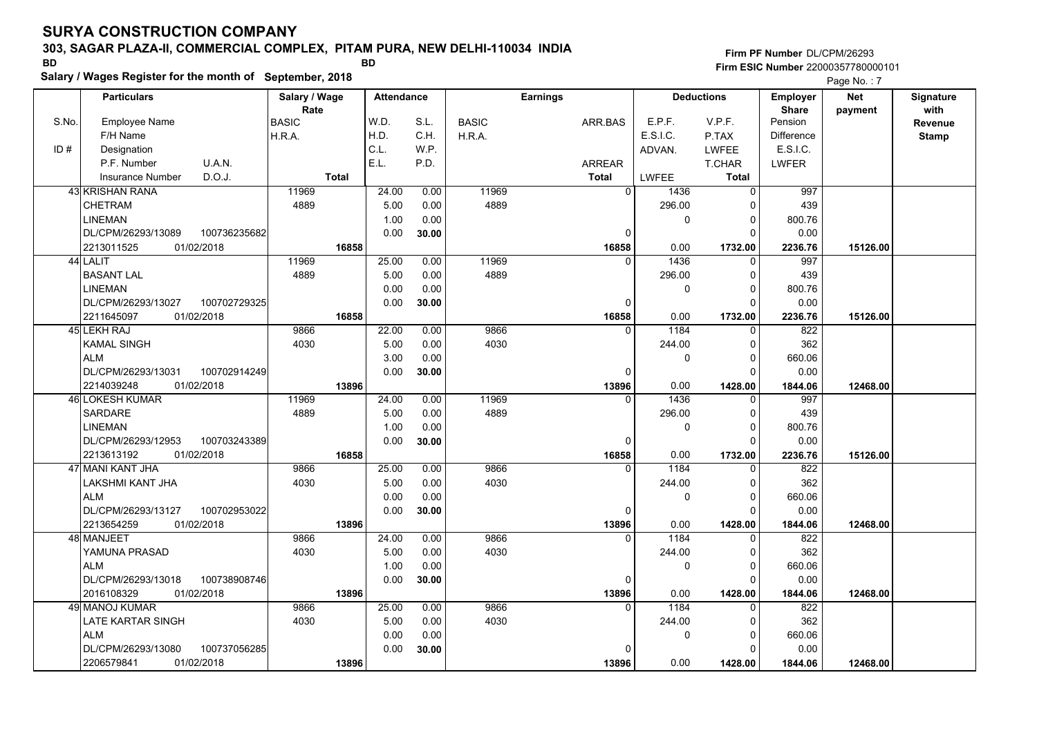#### **303, SAGAR PLAZA-II, COMMERCIAL COMPLEX, PITAM PURA, NEW DELHI-110034 INDIA**

**Salary / Wages Register for the month of September, 2018 BD BD**

### **Firm PF Number**DL/CPM/26293**Firm ESIC Number** 22000357780000101

|       | <b>Particulars</b>                 | Salary / Wage        | <b>Attendance</b> |       |              | <b>Earnings</b> |          | <b>Deductions</b> | Employer                | <b>Net</b> | Signature       |
|-------|------------------------------------|----------------------|-------------------|-------|--------------|-----------------|----------|-------------------|-------------------------|------------|-----------------|
| S.No. | <b>Employee Name</b>               | Rate<br><b>BASIC</b> | W.D.              | S.L.  | <b>BASIC</b> | ARR.BAS         | E.P.F.   | V.P.F.            | <b>Share</b><br>Pension | payment    | with<br>Revenue |
|       | F/H Name                           | H.R.A.               | H.D.              | C.H.  | H.R.A.       |                 | E.S.I.C. | P.TAX             | <b>Difference</b>       |            | <b>Stamp</b>    |
| ID#   | Designation                        |                      | C.L.              | WP.   |              |                 | ADVAN.   | LWFEE             | E.S.I.C.                |            |                 |
|       | U.A.N.<br>P.F. Number              |                      | E.L.              | P.D.  |              | <b>ARREAR</b>   |          | T.CHAR            | <b>LWFER</b>            |            |                 |
|       | D.O.J.<br>Insurance Number         | <b>Total</b>         |                   |       |              | <b>Total</b>    | LWFEE    | <b>Total</b>      |                         |            |                 |
|       | 43 KRISHAN RANA                    | 11969                | 24.00             | 0.00  | 11969        | $\Omega$        | 1436     | $\Omega$          | 997                     |            |                 |
|       | CHETRAM                            | 4889                 | 5.00              | 0.00  | 4889         |                 | 296.00   | O                 | 439                     |            |                 |
|       | <b>LINEMAN</b>                     |                      | 1.00              | 0.00  |              |                 | 0        | $\mathbf 0$       | 800.76                  |            |                 |
|       | 100736235682<br>DL/CPM/26293/13089 |                      | 0.00              | 30.00 |              | 0               |          | $\Omega$          | 0.00                    |            |                 |
|       | 2213011525<br>01/02/2018           | 16858                |                   |       |              | 16858           | 0.00     | 1732.00           | 2236.76                 | 15126.00   |                 |
|       | 44 LALIT                           | 11969                | 25.00             | 0.00  | 11969        | $\Omega$        | 1436     | $\Omega$          | 997                     |            |                 |
|       | <b>BASANT LAL</b>                  | 4889                 | 5.00              | 0.00  | 4889         |                 | 296.00   | $\Omega$          | 439                     |            |                 |
|       | <b>LINEMAN</b>                     |                      | 0.00              | 0.00  |              |                 | 0        | $\Omega$          | 800.76                  |            |                 |
|       | DL/CPM/26293/13027<br>100702729325 |                      | 0.00              | 30.00 |              | 0               |          | $\Omega$          | 0.00                    |            |                 |
|       | 2211645097<br>01/02/2018           | 16858                |                   |       |              | 16858           | 0.00     | 1732.00           | 2236.76                 | 15126.00   |                 |
|       | 45 LEKH RAJ                        | 9866                 | 22.00             | 0.00  | 9866         | $\Omega$        | 1184     | $\Omega$          | 822                     |            |                 |
|       | <b>KAMAL SINGH</b>                 | 4030                 | 5.00              | 0.00  | 4030         |                 | 244.00   | $\Omega$          | 362                     |            |                 |
|       | <b>ALM</b>                         |                      | 3.00              | 0.00  |              |                 | 0        | $\Omega$          | 660.06                  |            |                 |
|       | DL/CPM/26293/13031<br>100702914249 |                      | 0.00              | 30.00 |              | $\Omega$        |          | C                 | 0.00                    |            |                 |
|       | 2214039248<br>01/02/2018           | 13896                |                   |       |              | 13896           | 0.00     | 1428.00           | 1844.06                 | 12468.00   |                 |
|       | 46 LOKESH KUMAR                    | 11969                | 24.00             | 0.00  | 11969        | $\Omega$        | 1436     | $\Omega$          | 997                     |            |                 |
|       | <b>SARDARE</b>                     | 4889                 | 5.00              | 0.00  | 4889         |                 | 296.00   | $\Omega$          | 439                     |            |                 |
|       | <b>LINEMAN</b>                     |                      | 1.00              | 0.00  |              |                 | 0        | $\Omega$          | 800.76                  |            |                 |
|       | DL/CPM/26293/12953<br>100703243389 |                      | 0.00              | 30.00 |              | 0               |          | $\Omega$          | 0.00                    |            |                 |
|       | 2213613192<br>01/02/2018           | 16858                |                   |       |              | 16858           | 0.00     | 1732.00           | 2236.76                 | 15126.00   |                 |
|       | 47 MANI KANT JHA                   | 9866                 | 25.00             | 0.00  | 9866         | $\Omega$        | 1184     |                   | 822                     |            |                 |
|       | LAKSHMI KANT JHA                   | 4030                 | 5.00              | 0.00  | 4030         |                 | 244.00   | $\Omega$          | 362                     |            |                 |
|       | <b>ALM</b>                         |                      | 0.00              | 0.00  |              |                 | 0        | $\mathbf 0$       | 660.06                  |            |                 |
|       | DL/CPM/26293/13127<br>100702953022 |                      | 0.00              | 30.00 |              | 0               |          | $\Omega$          | 0.00                    |            |                 |
|       | 01/02/2018<br>2213654259           | 13896                |                   |       |              | 13896           | 0.00     | 1428.00           | 1844.06                 | 12468.00   |                 |
|       | 48 MANJEET                         | 9866                 | 24.00             | 0.00  | 9866         | $\Omega$        | 1184     |                   | 822                     |            |                 |
|       | YAMUNA PRASAD                      | 4030                 | 5.00              | 0.00  | 4030         |                 | 244.00   | $\Omega$          | 362                     |            |                 |
|       | <b>ALM</b>                         |                      | 1.00              | 0.00  |              |                 | 0        | $\Omega$          | 660.06                  |            |                 |
|       | DL/CPM/26293/13018<br>100738908746 |                      | 0.00              | 30.00 |              | 0               |          |                   | 0.00                    |            |                 |
|       | 2016108329<br>01/02/2018           | 13896                |                   |       |              | 13896           | 0.00     | 1428.00           | 1844.06                 | 12468.00   |                 |
|       | 49 MANOJ KUMAR                     | 9866                 | 25.00             | 0.00  | 9866         | $\Omega$        | 1184     | $\Omega$          | 822                     |            |                 |
|       | LATE KARTAR SINGH                  | 4030                 | 5.00              | 0.00  | 4030         |                 | 244.00   | 0                 | 362                     |            |                 |
|       | <b>ALM</b>                         |                      | 0.00              | 0.00  |              |                 | 0        | $\Omega$          | 660.06                  |            |                 |
|       | DL/CPM/26293/13080<br>100737056285 |                      | 0.00              | 30.00 |              | 0               |          | C                 | 0.00                    |            |                 |
|       | 2206579841<br>01/02/2018           | 13896                |                   |       |              | 13896           | 0.00     | 1428.00           | 1844.06                 | 12468.00   |                 |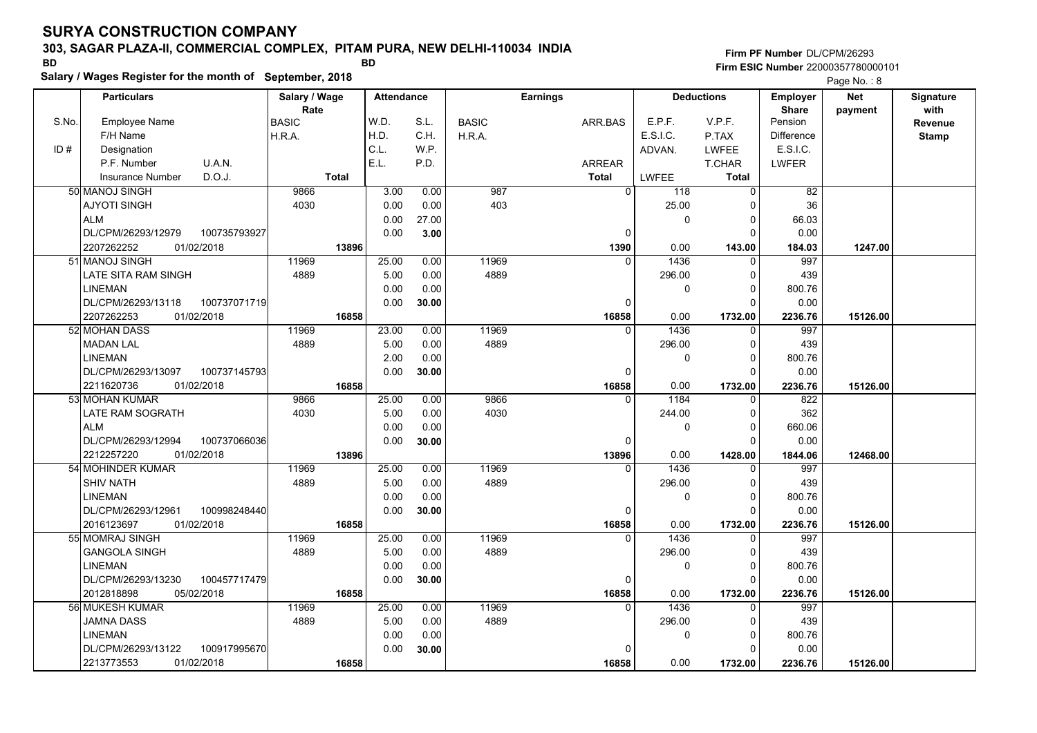### **303, SAGAR PLAZA-II, COMMERCIAL COMPLEX, PITAM PURA, NEW DELHI-110034 INDIA**

**Salary / Wages Register for the month of September, 2018 BD BD**

**Firm PF Number**DL/CPM/26293**Firm ESIC Number** 22000357780000101

|       | <b>Particulars</b>                 | Salary / Wage        | <b>Attendance</b> |       |              | <b>Earnings</b> |                       | <b>Deductions</b> | <b>Employer</b>         | <b>Net</b> | Signature       |
|-------|------------------------------------|----------------------|-------------------|-------|--------------|-----------------|-----------------------|-------------------|-------------------------|------------|-----------------|
| S.No. | Employee Name                      | Rate<br><b>BASIC</b> | W.D.              | S.L.  | <b>BASIC</b> | ARR.BAS         | E.P.F.                | V.P.F.            | <b>Share</b><br>Pension | payment    | with<br>Revenue |
|       | F/H Name                           | H.R.A.               | H.D.              | C.H.  | H.R.A.       |                 | E.S.I.C.              | P.TAX             | <b>Difference</b>       |            | <b>Stamp</b>    |
| ID#   | Designation                        |                      | C.L.              | W.P.  |              |                 | ADVAN.                | <b>LWFEE</b>      | E.S.I.C.                |            |                 |
|       | U.A.N.<br>P.F. Number              |                      | E.L.              | P.D.  |              | ARREAR          |                       | T.CHAR            | <b>LWFER</b>            |            |                 |
|       | D.O.J.<br><b>Insurance Number</b>  | <b>Total</b>         |                   |       |              | <b>Total</b>    | LWFEE                 | <b>Total</b>      |                         |            |                 |
|       | 50 MANOJ SINGH                     | 9866                 | 3.00              | 0.00  | 987          |                 | $\overline{0}$<br>118 | $\Omega$          | 82                      |            |                 |
|       | <b>AJYOTI SINGH</b>                | 4030                 | 0.00              | 0.00  | 403          |                 | 25.00                 | $\Omega$          | 36                      |            |                 |
|       | <b>ALM</b>                         |                      | 0.00              | 27.00 |              |                 | 0                     | $\Omega$          | 66.03                   |            |                 |
|       | DL/CPM/26293/12979<br>100735793927 |                      | 0.00              | 3.00  |              |                 | $\mathbf 0$           | $\Omega$          | 0.00                    |            |                 |
|       | 2207262252<br>01/02/2018           | 13896                |                   |       |              | 1390            | 0.00                  | 143.00            | 184.03                  | 1247.00    |                 |
|       | 51 MANOJ SINGH                     | 11969                | 25.00             | 0.00  | 11969        |                 | 1436<br>$\Omega$      | $\mathbf{0}$      | 997                     |            |                 |
|       | LATE SITA RAM SINGH                | 4889                 | 5.00              | 0.00  | 4889         |                 | 296.00                | $\Omega$          | 439                     |            |                 |
|       | <b>LINEMAN</b>                     |                      | 0.00              | 0.00  |              |                 | 0                     | $\Omega$          | 800.76                  |            |                 |
|       | DL/CPM/26293/13118<br>100737071719 |                      | 0.00              | 30.00 |              |                 | $\Omega$              | $\Omega$          | 0.00                    |            |                 |
|       | 01/02/2018<br>2207262253           | 16858                |                   |       |              | 16858           | 0.00                  | 1732.00           | 2236.76                 | 15126.00   |                 |
|       | 52 MOHAN DASS                      | 11969                | 23.00             | 0.00  | 11969        |                 | 1436<br>$\Omega$      | 0                 | 997                     |            |                 |
|       | <b>MADAN LAL</b>                   | 4889                 | 5.00              | 0.00  | 4889         |                 | 296.00                | $\Omega$          | 439                     |            |                 |
|       | <b>LINEMAN</b>                     |                      | 2.00              | 0.00  |              |                 | 0                     | $\Omega$          | 800.76                  |            |                 |
|       | DL/CPM/26293/13097<br>100737145793 |                      | 0.00              | 30.00 |              |                 | $\mathbf 0$           | $\Omega$          | 0.00                    |            |                 |
|       | 2211620736<br>01/02/2018           | 16858                |                   |       |              | 16858           | 0.00                  | 1732.00           | 2236.76                 | 15126.00   |                 |
|       | 53 MOHAN KUMAR                     | 9866                 | 25.00             | 0.00  | 9866         |                 | 1184<br>$\Omega$      | $\mathbf{0}$      | 822                     |            |                 |
|       | <b>LATE RAM SOGRATH</b>            | 4030                 | 5.00              | 0.00  | 4030         |                 | 244.00                | $\Omega$          | 362                     |            |                 |
|       | <b>ALM</b>                         |                      | 0.00              | 0.00  |              |                 | 0                     | $\Omega$          | 660.06                  |            |                 |
|       | DL/CPM/26293/12994<br>100737066036 |                      | 0.00              | 30.00 |              |                 | $\mathbf 0$           | $\Omega$          | 0.00                    |            |                 |
|       | 2212257220<br>01/02/2018           | 13896                |                   |       |              | 13896           | 0.00                  | 1428.00           | 1844.06                 | 12468.00   |                 |
|       | 54 MOHINDER KUMAR                  | 11969                | 25.00             | 0.00  | 11969        |                 | 1436<br>$\Omega$      | $\Omega$          | 997                     |            |                 |
|       | <b>SHIV NATH</b>                   | 4889                 | 5.00              | 0.00  | 4889         |                 | 296.00                | $\Omega$          | 439                     |            |                 |
|       | <b>LINEMAN</b>                     |                      | 0.00              | 0.00  |              |                 | 0                     | 0                 | 800.76                  |            |                 |
|       | DL/CPM/26293/12961<br>100998248440 |                      | 0.00              | 30.00 |              |                 | $\mathbf 0$           | $\Omega$          | 0.00                    |            |                 |
|       | 01/02/2018<br>2016123697           | 16858                |                   |       |              | 16858           | 0.00                  | 1732.00           | 2236.76                 | 15126.00   |                 |
|       | 55 MOMRAJ SINGH                    | 11969                | 25.00             | 0.00  | 11969        |                 | 1436<br>$\Omega$      | $\Omega$          | 997                     |            |                 |
|       | <b>GANGOLA SINGH</b>               | 4889                 | 5.00              | 0.00  | 4889         |                 | 296.00                | $\Omega$          | 439                     |            |                 |
|       | <b>LINEMAN</b>                     |                      | 0.00              | 0.00  |              |                 | 0                     | $\Omega$          | 800.76                  |            |                 |
|       | DL/CPM/26293/13230<br>100457717479 |                      | 0.00              | 30.00 |              |                 | $\mathbf 0$           | $\Omega$          | 0.00                    |            |                 |
|       | 2012818898<br>05/02/2018           | 16858                |                   |       |              | 16858           | 0.00                  | 1732.00           | 2236.76                 | 15126.00   |                 |
|       | 56 MUKESH KUMAR                    | 11969                | 25.00             | 0.00  | 11969        |                 | 1436<br>$\Omega$      | $\mathbf{0}$      | 997                     |            |                 |
|       | <b>JAMNA DASS</b>                  | 4889                 | 5.00              | 0.00  | 4889         |                 | 296.00                | $\Omega$          | 439                     |            |                 |
|       | <b>LINEMAN</b>                     |                      | 0.00              | 0.00  |              |                 | 0                     | $\mathbf 0$       | 800.76                  |            |                 |
|       | DL/CPM/26293/13122<br>100917995670 |                      | 0.00              | 30.00 |              |                 | $\mathbf 0$           | $\Omega$          | 0.00                    |            |                 |
|       | 2213773553<br>01/02/2018           | 16858                |                   |       |              | 16858           | 0.00                  | 1732.00           | 2236.76                 | 15126.00   |                 |
|       |                                    |                      |                   |       |              |                 |                       |                   |                         |            |                 |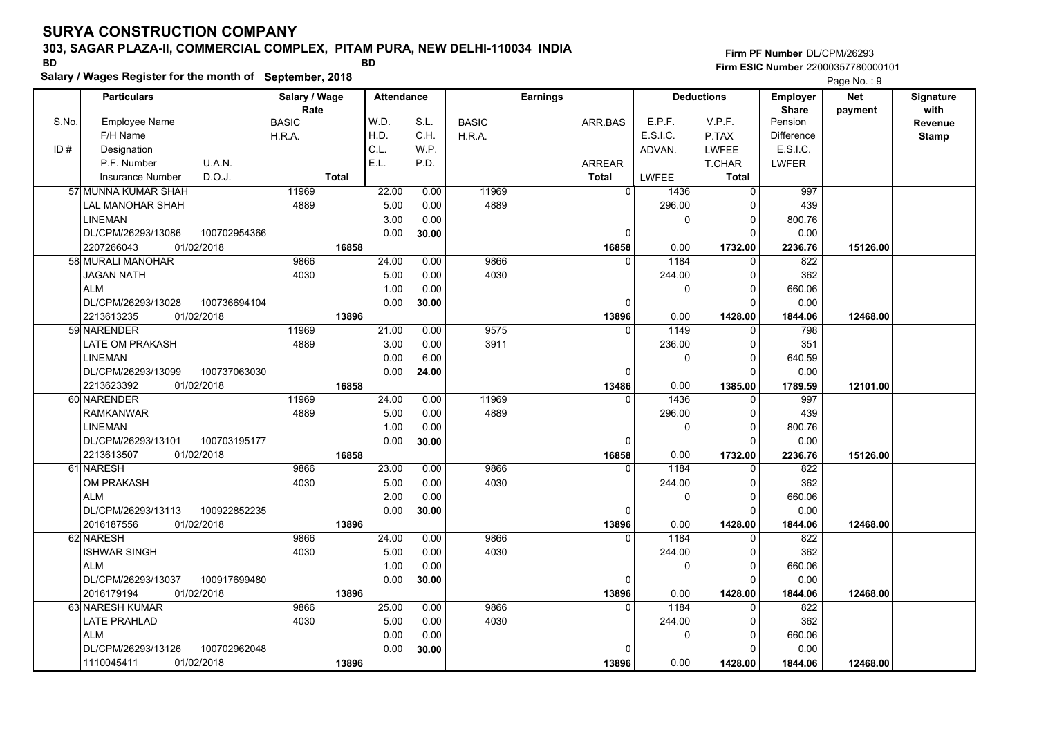#### **303, SAGAR PLAZA-II, COMMERCIAL COMPLEX, PITAM PURA, NEW DELHI-110034 INDIA**

**Salary / Wages Register for the month of September, 2018 BD BD**

**Firm PF Number**DL/CPM/26293**Firm ESIC Number** 22000357780000101

|       | <b>Particulars</b>       |              | Salary / Wage<br>Rate |              | <b>Attendance</b> |       |              | <b>Earnings</b> |                |              | <b>Deductions</b> | Employer<br><b>Share</b> | <b>Net</b> | Signature<br>with |
|-------|--------------------------|--------------|-----------------------|--------------|-------------------|-------|--------------|-----------------|----------------|--------------|-------------------|--------------------------|------------|-------------------|
| S.No. | Employee Name            |              | <b>BASIC</b>          |              | W.D.              | S.L.  | <b>BASIC</b> |                 | ARR.BAS        | E.P.F.       | V.P.F.            | Pension                  | payment    | Revenue           |
|       | F/H Name                 |              | H.R.A.                |              | H.D.              | C.H.  | H.R.A.       |                 |                | E.S.I.C.     | P.TAX             | <b>Difference</b>        |            | <b>Stamp</b>      |
| ID#   | Designation              |              |                       |              | C.L.              | W.P.  |              |                 |                | ADVAN.       | <b>LWFEE</b>      | E.S.I.C.                 |            |                   |
|       | P.F. Number              | U.A.N.       |                       |              | E.L.              | P.D.  |              |                 | <b>ARREAR</b>  |              | T.CHAR            | <b>LWFER</b>             |            |                   |
|       | <b>Insurance Number</b>  | D.O.J.       |                       | <b>Total</b> |                   |       |              |                 | <b>Total</b>   | <b>LWFEE</b> | <b>Total</b>      |                          |            |                   |
|       | 57 MUNNA KUMAR SHAH      |              | 11969                 |              | 22.00             | 0.00  | 11969        |                 | $\overline{0}$ | 1436         | $\mathbf 0$       | 997                      |            |                   |
|       | LAL MANOHAR SHAH         |              | 4889                  |              | 5.00              | 0.00  | 4889         |                 |                | 296.00       | $\Omega$          | 439                      |            |                   |
|       | <b>LINEMAN</b>           |              |                       |              | 3.00              | 0.00  |              |                 |                | 0            | $\Omega$          | 800.76                   |            |                   |
|       | DL/CPM/26293/13086       | 100702954366 |                       |              | 0.00              | 30.00 |              |                 | $\mathbf 0$    |              | $\Omega$          | 0.00                     |            |                   |
|       | 2207266043<br>01/02/2018 |              |                       | 16858        |                   |       |              |                 | 16858          | 0.00         | 1732.00           | 2236.76                  | 15126.00   |                   |
|       | 58 MURALI MANOHAR        |              | 9866                  |              | 24.00             | 0.00  | 9866         |                 | $\Omega$       | 1184         | 0                 | 822                      |            |                   |
|       | <b>JAGAN NATH</b>        |              | 4030                  |              | 5.00              | 0.00  | 4030         |                 |                | 244.00       | $\Omega$          | 362                      |            |                   |
|       | <b>ALM</b>               |              |                       |              | 1.00              | 0.00  |              |                 |                | 0            | $\Omega$          | 660.06                   |            |                   |
|       | DL/CPM/26293/13028       | 100736694104 |                       |              | 0.00              | 30.00 |              |                 | 0              |              | $\Omega$          | 0.00                     |            |                   |
|       | 01/02/2018<br>2213613235 |              |                       | 13896        |                   |       |              |                 | 13896          | 0.00         | 1428.00           | 1844.06                  | 12468.00   |                   |
|       | 59 NARENDER              |              | 11969                 |              | 21.00             | 0.00  | 9575         |                 | $\Omega$       | 1149         | $\mathbf{0}$      | 798                      |            |                   |
|       | <b>LATE OM PRAKASH</b>   |              | 4889                  |              | 3.00              | 0.00  | 3911         |                 |                | 236.00       | $\Omega$          | 351                      |            |                   |
|       | <b>LINEMAN</b>           |              |                       |              | 0.00              | 6.00  |              |                 |                | 0            | $\Omega$          | 640.59                   |            |                   |
|       | DL/CPM/26293/13099       | 100737063030 |                       |              | 0.00              | 24.00 |              |                 | 0              |              | $\Omega$          | 0.00                     |            |                   |
|       | 2213623392<br>01/02/2018 |              |                       | 16858        |                   |       |              |                 | 13486          | 0.00         | 1385.00           | 1789.59                  | 12101.00   |                   |
|       | 60 NARENDER              |              | 11969                 |              | 24.00             | 0.00  | 11969        |                 | $\Omega$       | 1436         | $\mathbf{0}$      | 997                      |            |                   |
|       | <b>RAMKANWAR</b>         |              | 4889                  |              | 5.00              | 0.00  | 4889         |                 |                | 296.00       | $\Omega$          | 439                      |            |                   |
|       | <b>LINEMAN</b>           |              |                       |              | 1.00              | 0.00  |              |                 |                | 0            | $\Omega$          | 800.76                   |            |                   |
|       | DL/CPM/26293/13101       | 100703195177 |                       |              | 0.00              | 30.00 |              |                 | $\mathbf 0$    |              | $\Omega$          | 0.00                     |            |                   |
|       | 2213613507<br>01/02/2018 |              |                       | 16858        |                   |       |              |                 | 16858          | 0.00         | 1732.00           | 2236.76                  | 15126.00   |                   |
|       | 61 NARESH                |              | 9866                  |              | 23.00             | 0.00  | 9866         |                 | $\Omega$       | 1184         | $\Omega$          | 822                      |            |                   |
|       | <b>OM PRAKASH</b>        |              | 4030                  |              | 5.00              | 0.00  | 4030         |                 |                | 244.00       | $\Omega$          | 362                      |            |                   |
|       | <b>ALM</b>               |              |                       |              | 2.00              | 0.00  |              |                 |                | 0            | $\mathbf 0$       | 660.06                   |            |                   |
|       | DL/CPM/26293/13113       | 100922852235 |                       |              | 0.00              | 30.00 |              |                 | 0              |              | $\Omega$          | 0.00                     |            |                   |
|       | 01/02/2018<br>2016187556 |              |                       | 13896        |                   |       |              |                 | 13896          | 0.00         | 1428.00           | 1844.06                  | 12468.00   |                   |
|       | 62 NARESH                |              | 9866                  |              | 24.00             | 0.00  | 9866         |                 | $\Omega$       | 1184         | $\Omega$          | 822                      |            |                   |
|       | <b>ISHWAR SINGH</b>      |              | 4030                  |              | 5.00              | 0.00  | 4030         |                 |                | 244.00       | $\Omega$          | 362                      |            |                   |
|       | <b>ALM</b>               |              |                       |              | 1.00              | 0.00  |              |                 |                | 0            | $\Omega$          | 660.06                   |            |                   |
|       | DL/CPM/26293/13037       | 100917699480 |                       |              | 0.00              | 30.00 |              |                 | 0              |              | $\Omega$          | 0.00                     |            |                   |
|       | 2016179194<br>01/02/2018 |              |                       | 13896        |                   |       |              |                 | 13896          | 0.00         | 1428.00           | 1844.06                  | 12468.00   |                   |
|       | 63 NARESH KUMAR          |              | 9866                  |              | 25.00             | 0.00  | 9866         |                 | $\Omega$       | 1184         | $\mathbf{0}$      | 822                      |            |                   |
|       | <b>LATE PRAHLAD</b>      |              | 4030                  |              | 5.00              | 0.00  | 4030         |                 |                | 244.00       | $\Omega$          | 362                      |            |                   |
|       | <b>ALM</b>               |              |                       |              | 0.00              | 0.00  |              |                 |                | 0            | $\Omega$          | 660.06                   |            |                   |
|       | DL/CPM/26293/13126       | 100702962048 |                       |              | 0.00              | 30.00 |              |                 | 0              |              | $\Omega$          | 0.00                     |            |                   |
|       | 01/02/2018<br>1110045411 |              |                       | 13896        |                   |       |              |                 | 13896          | 0.00         | 1428.00           | 1844.06                  | 12468.00   |                   |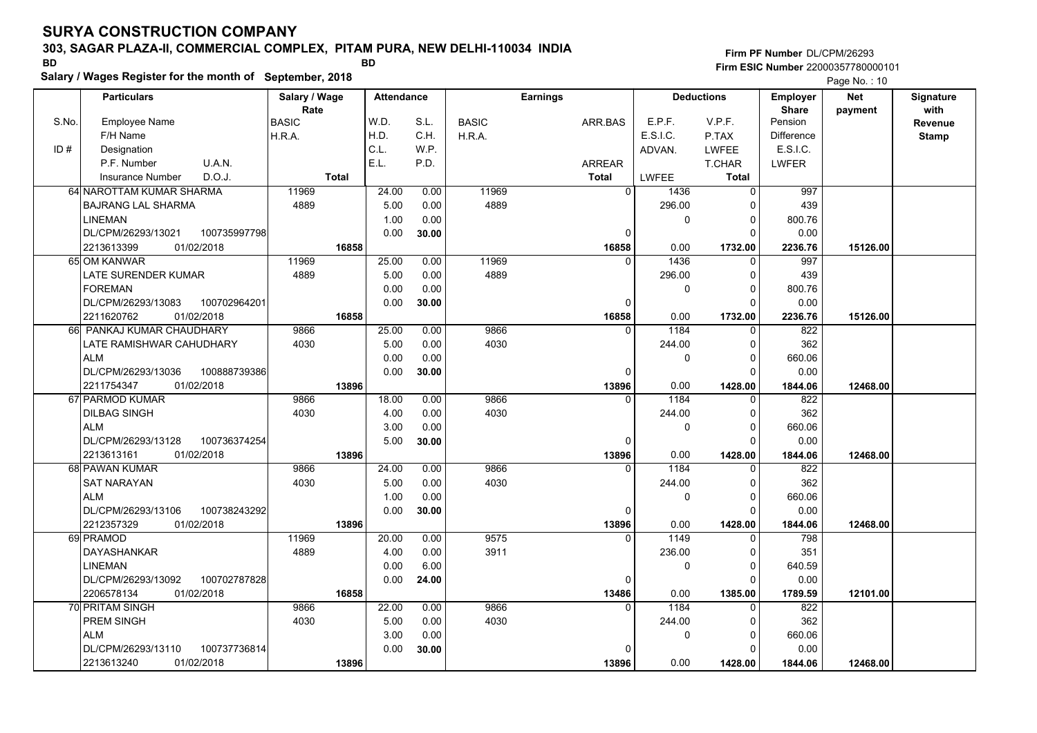### **303, SAGAR PLAZA-II, COMMERCIAL COMPLEX, PITAM PURA, NEW DELHI-110034 INDIA**

**Salary / Wages Register for the month of September, 2018 BD BD**

### **Firm PF Number**DL/CPM/26293**Firm ESIC Number** 22000357780000101

|       | <b>Particulars</b>                 | Salary / Wage        | <b>Attendance</b> |       |              | <b>Earnings</b> |              | <b>Deductions</b> | Employer                | <b>Net</b> | Signature       |
|-------|------------------------------------|----------------------|-------------------|-------|--------------|-----------------|--------------|-------------------|-------------------------|------------|-----------------|
| S.No. | Employee Name                      | Rate<br><b>BASIC</b> | W.D.              | S.L.  | <b>BASIC</b> | ARR.BAS         | E.P.F.       | V.P.F.            | <b>Share</b><br>Pension | payment    | with<br>Revenue |
|       | F/H Name                           | H.R.A.               | H.D.              | C.H.  | H.R.A.       |                 | E.S.I.C.     | P.TAX             | <b>Difference</b>       |            | <b>Stamp</b>    |
| ID#   | Designation                        |                      | C.L.              | W.P.  |              |                 | ADVAN.       | <b>LWFEE</b>      | E.S.I.C.                |            |                 |
|       | U.A.N.<br>P.F. Number              |                      | E.L.              | P.D.  |              | <b>ARREAR</b>   |              | T.CHAR            | <b>LWFER</b>            |            |                 |
|       | D.O.J.<br><b>Insurance Number</b>  | <b>Total</b>         |                   |       |              | <b>Total</b>    | <b>LWFEE</b> | Total             |                         |            |                 |
|       | 64 NAROTTAM KUMAR SHARMA           | 11969                | 24.00             | 0.00  | 11969        | $\overline{0}$  | 1436         | 0                 | 997                     |            |                 |
|       | <b>BAJRANG LAL SHARMA</b>          | 4889                 | 5.00              | 0.00  | 4889         |                 | 296.00       | $\Omega$          | 439                     |            |                 |
|       | <b>LINEMAN</b>                     |                      | 1.00              | 0.00  |              |                 | $\mathbf 0$  | 0                 | 800.76                  |            |                 |
|       | 100735997798<br>DL/CPM/26293/13021 |                      | 0.00              | 30.00 |              | $\mathbf 0$     |              | $\Omega$          | 0.00                    |            |                 |
|       | 2213613399<br>01/02/2018           | 16858                |                   |       |              | 16858           | 0.00         | 1732.00           | 2236.76                 | 15126.00   |                 |
|       | 65 OM KANWAR                       | 11969                | 25.00             | 0.00  | 11969        | $\Omega$        | 1436         | $\Omega$          | 997                     |            |                 |
|       | LATE SURENDER KUMAR                | 4889                 | 5.00              | 0.00  | 4889         |                 | 296.00       | 0                 | 439                     |            |                 |
|       | <b>FOREMAN</b>                     |                      | 0.00              | 0.00  |              |                 | $\mathbf 0$  | $\Omega$          | 800.76                  |            |                 |
|       | DL/CPM/26293/13083<br>100702964201 |                      | 0.00              | 30.00 |              | 0               |              | $\Omega$          | 0.00                    |            |                 |
|       | 2211620762<br>01/02/2018           | 16858                |                   |       |              | 16858           | 0.00         | 1732.00           | 2236.76                 | 15126.00   |                 |
|       | 66 PANKAJ KUMAR CHAUDHARY          | 9866                 | 25.00             | 0.00  | 9866         | $\Omega$        | 1184         | $\Omega$          | 822                     |            |                 |
|       | LATE RAMISHWAR CAHUDHARY           | 4030                 | 5.00              | 0.00  | 4030         |                 | 244.00       | $\Omega$          | 362                     |            |                 |
|       | <b>ALM</b>                         |                      | 0.00              | 0.00  |              |                 | 0            | $\Omega$          | 660.06                  |            |                 |
|       | DL/CPM/26293/13036<br>100888739386 |                      | 0.00              | 30.00 |              | $\Omega$        |              | $\Omega$          | 0.00                    |            |                 |
|       | 01/02/2018<br>2211754347           | 13896                |                   |       |              | 13896           | 0.00         | 1428.00           | 1844.06                 | 12468.00   |                 |
|       | 67 PARMOD KUMAR                    | 9866                 | 18.00             | 0.00  | 9866         |                 | 1184         | $\Omega$          | $\overline{822}$        |            |                 |
|       | <b>DILBAG SINGH</b>                | 4030                 | 4.00              | 0.00  | 4030         |                 | 244.00       | $\Omega$          | 362                     |            |                 |
|       | <b>ALM</b>                         |                      | 3.00              | 0.00  |              |                 | $\mathbf 0$  | $\Omega$          | 660.06                  |            |                 |
|       | DL/CPM/26293/13128<br>100736374254 |                      | 5.00              | 30.00 |              | $\Omega$        |              | $\Omega$          | 0.00                    |            |                 |
|       | 2213613161<br>01/02/2018           | 13896                |                   |       |              | 13896           | 0.00         | 1428.00           | 1844.06                 | 12468.00   |                 |
|       | 68 PAWAN KUMAR                     | 9866                 | 24.00             | 0.00  | 9866         | $\Omega$        | 1184         | O                 | 822                     |            |                 |
|       | <b>SAT NARAYAN</b>                 | 4030                 | 5.00              | 0.00  | 4030         |                 | 244.00       | $\Omega$          | 362                     |            |                 |
|       | <b>ALM</b>                         |                      | 1.00              | 0.00  |              |                 | $\mathbf 0$  | $\Omega$          | 660.06                  |            |                 |
|       | 100738243292<br>DL/CPM/26293/13106 |                      | 0.00              | 30.00 |              | 0               |              | $\Omega$          | 0.00                    |            |                 |
|       | 2212357329<br>01/02/2018           | 13896                |                   |       |              | 13896           | 0.00         | 1428.00           | 1844.06                 | 12468.00   |                 |
|       | 69 PRAMOD                          | 11969                | 20.00             | 0.00  | 9575         | $\Omega$        | 1149         | 0                 | 798                     |            |                 |
|       | <b>DAYASHANKAR</b>                 | 4889                 | 4.00              | 0.00  | 3911         |                 | 236.00       | $\Omega$          | 351                     |            |                 |
|       | <b>LINEMAN</b>                     |                      | 0.00              | 6.00  |              |                 | $\mathbf 0$  | $\Omega$          | 640.59                  |            |                 |
|       | 100702787828<br>DL/CPM/26293/13092 |                      | 0.00              | 24.00 |              | 0               |              | $\Omega$          | 0.00                    |            |                 |
|       | 01/02/2018<br>2206578134           | 16858                |                   |       |              | 13486           | 0.00         | 1385.00           | 1789.59                 | 12101.00   |                 |
|       | 70 PRITAM SINGH                    | 9866                 | 22.00             | 0.00  | 9866         | $\Omega$        | 1184         | $\Omega$          | 822                     |            |                 |
|       | PREM SINGH                         | 4030                 | 5.00              | 0.00  | 4030         |                 | 244.00       | $\Omega$          | 362                     |            |                 |
|       | <b>ALM</b>                         |                      | 3.00              | 0.00  |              |                 | 0            | 0                 | 660.06                  |            |                 |
|       | 100737736814<br>DL/CPM/26293/13110 |                      | 0.00              | 30.00 |              | $\Omega$        |              | ŋ                 | 0.00                    |            |                 |
|       | 01/02/2018<br>2213613240           | 13896                |                   |       |              | 13896           | 0.00         | 1428.00           | 1844.06                 | 12468.00   |                 |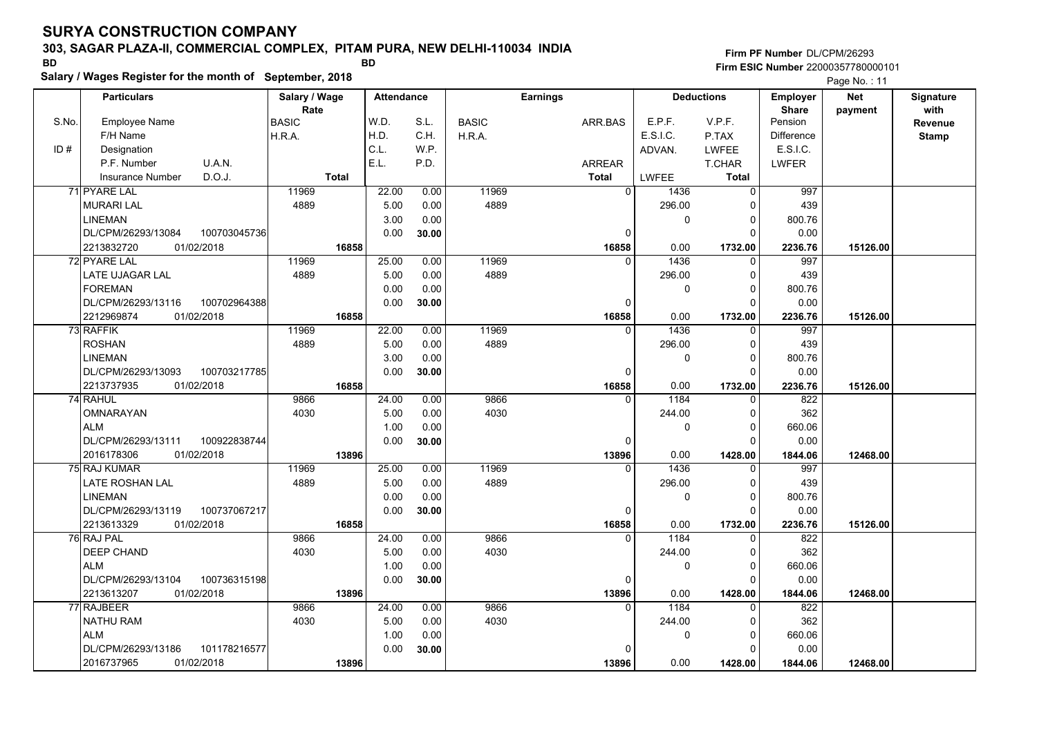### **303, SAGAR PLAZA-II, COMMERCIAL COMPLEX, PITAM PURA, NEW DELHI-110034 INDIA**

**Salary / Wages Register for the month of September, 2018 BD BD**

### **Firm PF Number**DL/CPM/26293**Firm ESIC Number** 22000357780000101

|       | <b>Particulars</b>                 | Salary / Wage        | Attendance |       |              | <b>Earnings</b> |                        | <b>Deductions</b>    | <b>Employer</b>         | <b>Net</b> | Signature       |
|-------|------------------------------------|----------------------|------------|-------|--------------|-----------------|------------------------|----------------------|-------------------------|------------|-----------------|
| S.No. | Employee Name                      | Rate<br><b>BASIC</b> | W.D.       | S.L.  | <b>BASIC</b> | ARR.BAS         | E.P.F.                 | V.P.F.               | <b>Share</b><br>Pension | payment    | with<br>Revenue |
|       | F/H Name                           | H.R.A.               | H.D.       | C.H.  | H.R.A.       |                 | E.S.I.C.               | P.TAX                | <b>Difference</b>       |            | <b>Stamp</b>    |
| ID#   | Designation                        |                      | C.L.       | W.P.  |              |                 | ADVAN.                 | LWFEE                | E.S.I.C.                |            |                 |
|       | U.A.N.<br>P.F. Number              |                      | E.L.       | P.D.  |              | ARREAR          |                        | T.CHAR               | <b>LWFER</b>            |            |                 |
|       | D.O.J.<br><b>Insurance Number</b>  | <b>Total</b>         |            |       |              | <b>Total</b>    | LWFEE                  | <b>Total</b>         |                         |            |                 |
|       | 71 PYARE LAL                       | 11969                | 22.00      | 0.00  | 11969        |                 | $\overline{0}$<br>1436 | $\mathbf 0$          | 997                     |            |                 |
|       | <b>MURARI LAL</b>                  | 4889                 | 5.00       | 0.00  | 4889         |                 | 296.00                 | $\Omega$             | 439                     |            |                 |
|       | <b>LINEMAN</b>                     |                      | 3.00       | 0.00  |              |                 | 0                      | $\Omega$             | 800.76                  |            |                 |
|       | DL/CPM/26293/13084<br>100703045736 |                      | 0.00       | 30.00 |              |                 | $\Omega$               | $\Omega$             | 0.00                    |            |                 |
|       | 2213832720<br>01/02/2018           | 16858                |            |       |              | 16858           | 0.00                   | 1732.00              | 2236.76                 | 15126.00   |                 |
|       | 72 PYARE LAL                       | 11969                | 25.00      | 0.00  | 11969        |                 | 1436<br>$\Omega$       | $\mathbf 0$          | 997                     |            |                 |
|       | LATE UJAGAR LAL                    | 4889                 | 5.00       | 0.00  | 4889         |                 | 296.00                 | 0                    | 439                     |            |                 |
|       | <b>FOREMAN</b>                     |                      | 0.00       | 0.00  |              |                 | 0                      | $\Omega$             | 800.76                  |            |                 |
|       | DL/CPM/26293/13116<br>100702964388 |                      | 0.00       | 30.00 |              |                 | $\Omega$               | $\Omega$             | 0.00                    |            |                 |
|       | 01/02/2018<br>2212969874           | 16858                |            |       |              | 16858           | 0.00                   | 1732.00              | 2236.76                 | 15126.00   |                 |
|       | 73 RAFFIK                          | 11969                | 22.00      | 0.00  | 11969        |                 | 1436<br>$\mathbf{0}$   | $\mathbf 0$          | 997                     |            |                 |
|       | <b>ROSHAN</b>                      | 4889                 | 5.00       | 0.00  | 4889         |                 | 296.00                 | $\Omega$             | 439                     |            |                 |
|       | <b>LINEMAN</b>                     |                      | 3.00       | 0.00  |              |                 | 0                      | $\Omega$             | 800.76                  |            |                 |
|       | DL/CPM/26293/13093<br>100703217785 |                      | 0.00       | 30.00 |              |                 | 0                      | $\Omega$             | 0.00                    |            |                 |
|       | 2213737935<br>01/02/2018           | 16858                |            |       |              | 16858           | 0.00                   | 1732.00              | 2236.76                 | 15126.00   |                 |
|       | 74 RAHUL                           | 9866                 | 24.00      | 0.00  | 9866         |                 | $\Omega$<br>1184       | 0                    | 822                     |            |                 |
|       | <b>OMNARAYAN</b>                   | 4030                 | 5.00       | 0.00  | 4030         |                 | 244.00                 | $\mathbf 0$          | 362                     |            |                 |
|       | <b>ALM</b>                         |                      | 1.00       | 0.00  |              |                 | 0                      | $\Omega$             | 660.06                  |            |                 |
|       | DL/CPM/26293/13111<br>100922838744 |                      | 0.00       | 30.00 |              |                 | 0                      | $\Omega$             | 0.00                    |            |                 |
|       | 2016178306<br>01/02/2018           | 13896                |            |       |              | 13896           | 0.00                   | 1428.00              | 1844.06                 | 12468.00   |                 |
|       | 75 RAJ KUMAR                       | 11969                | 25.00      | 0.00  | 11969        |                 | 1436<br>$\Omega$       | $\Omega$             | 997                     |            |                 |
|       | LATE ROSHAN LAL                    | 4889                 | 5.00       | 0.00  | 4889         |                 | 296.00                 | $\Omega$             | 439                     |            |                 |
|       | <b>LINEMAN</b>                     |                      | 0.00       | 0.00  |              |                 | 0                      | $\mathbf 0$          | 800.76                  |            |                 |
|       | DL/CPM/26293/13119<br>100737067217 |                      | 0.00       | 30.00 |              |                 | $\mathbf 0$            | $\Omega$             | 0.00                    |            |                 |
|       | 01/02/2018<br>2213613329           | 16858                |            |       |              | 16858           | 0.00                   | 1732.00              | 2236.76                 | 15126.00   |                 |
|       | 76 RAJ PAL                         | 9866                 | 24.00      | 0.00  | 9866         |                 | 1184<br>$\Omega$       | $\Omega$             | 822                     |            |                 |
|       | <b>DEEP CHAND</b>                  | 4030                 | 5.00       | 0.00  | 4030         |                 | 244.00                 | $\Omega$             | 362                     |            |                 |
|       | <b>ALM</b>                         |                      | 1.00       | 0.00  |              |                 | 0                      | $\Omega$             | 660.06                  |            |                 |
|       | DL/CPM/26293/13104<br>100736315198 |                      | 0.00       | 30.00 |              |                 | 0                      | $\Omega$             | 0.00                    |            |                 |
|       | 01/02/2018<br>2213613207           | 13896                |            |       |              | 13896           | 0.00                   | 1428.00              | 1844.06                 | 12468.00   |                 |
|       | 77 RAJBEER                         | 9866                 | 24.00      | 0.00  | 9866         |                 | 1184<br>$\Omega$       | $\Omega$             | 822                     |            |                 |
|       | <b>NATHU RAM</b>                   | 4030                 | 5.00       | 0.00  | 4030         |                 | 244.00                 | 0                    | 362                     |            |                 |
|       | <b>ALM</b>                         |                      | 1.00       | 0.00  |              |                 | 0                      | $\Omega$<br>$\Omega$ | 660.06                  |            |                 |
|       | DL/CPM/26293/13186<br>101178216577 |                      | 0.00       | 30.00 |              |                 | $\Omega$               |                      | 0.00                    |            |                 |
|       | 2016737965<br>01/02/2018           | 13896                |            |       |              | 13896           | 0.00                   | 1428.00              | 1844.06                 | 12468.00   |                 |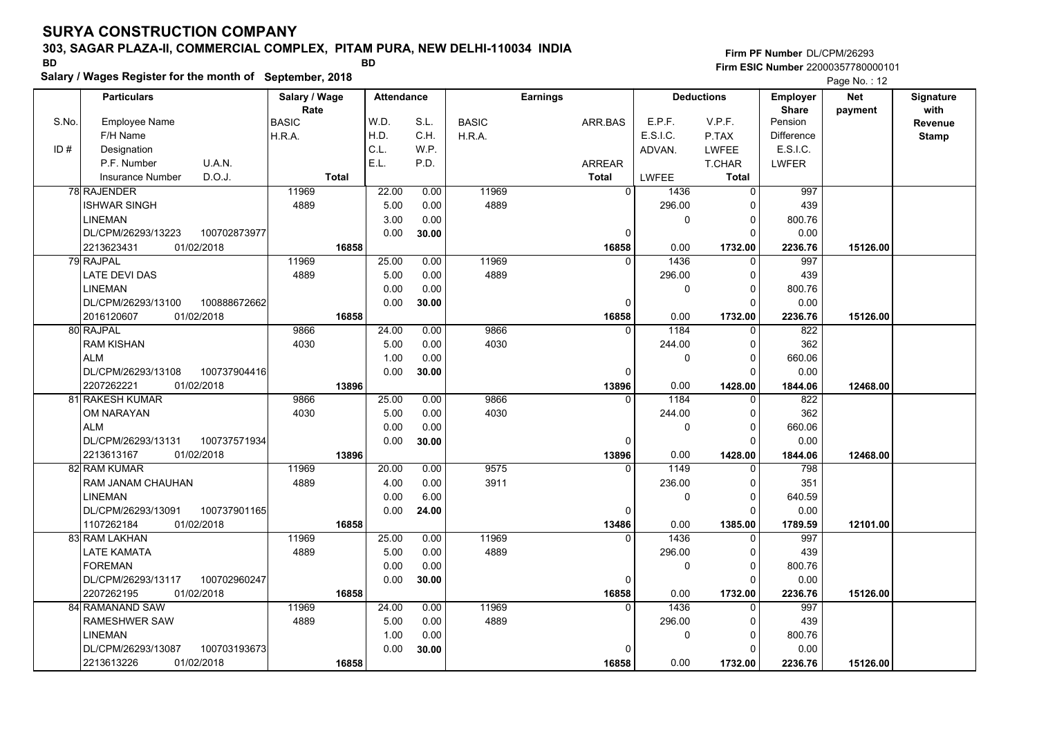#### **303, SAGAR PLAZA-II, COMMERCIAL COMPLEX, PITAM PURA, NEW DELHI-110034 INDIA**

**Salary / Wages Register for the month of September, 2018 BD BD**

### **Firm PF Number**DL/CPM/26293**Firm ESIC Number** 22000357780000101

|       | <b>Particulars</b>                 | Salary / Wage | <b>Attendance</b> |       |              | <b>Earnings</b> |                        | <b>Deductions</b> | <b>Employer</b>               | <b>Net</b> | Signature    |
|-------|------------------------------------|---------------|-------------------|-------|--------------|-----------------|------------------------|-------------------|-------------------------------|------------|--------------|
| S.No. |                                    | Rate          | W.D.              | S.L.  |              |                 | E.P.F.                 | V.P.F.            | <b>Share</b><br>Pension       | payment    | with         |
|       | <b>Employee Name</b>               | <b>BASIC</b>  | H.D.              | C.H.  | <b>BASIC</b> | ARR.BAS         | E.S.I.C.               |                   |                               |            | Revenue      |
|       | F/H Name                           | H.R.A.        | C.L.              |       | H.R.A.       |                 |                        | P.TAX             | <b>Difference</b><br>E.S.I.C. |            | <b>Stamp</b> |
| ID#   | Designation                        |               |                   | WP.   |              |                 | ADVAN.                 | <b>LWFEE</b>      |                               |            |              |
|       | U.A.N.<br>P.F. Number              |               | E.L.              | P.D.  |              | ARREAR          |                        | T.CHAR            | <b>LWFER</b>                  |            |              |
|       | D.O.J.<br><b>Insurance Number</b>  | <b>Total</b>  |                   |       |              | <b>Total</b>    | <b>LWFEE</b>           | Total             |                               |            |              |
|       | 78 RAJENDER                        | 11969         | 22.00             | 0.00  | 11969        |                 | $\overline{0}$<br>1436 | $\mathbf 0$       | 997                           |            |              |
|       | <b>ISHWAR SINGH</b>                | 4889          | 5.00              | 0.00  | 4889         |                 | 296.00                 | 0                 | 439                           |            |              |
|       | <b>LINEMAN</b>                     |               | 3.00              | 0.00  |              |                 | 0                      | $\mathbf 0$       | 800.76                        |            |              |
|       | 100702873977<br>DL/CPM/26293/13223 |               | 0.00              | 30.00 |              | 0               |                        | $\Omega$          | 0.00                          |            |              |
|       | 2213623431<br>01/02/2018           | 16858         |                   |       |              | 16858           | 0.00                   | 1732.00           | 2236.76                       | 15126.00   |              |
|       | 79 RAJPAL                          | 11969         | 25.00             | 0.00  | 11969        |                 | 1436<br>$\Omega$       | $\mathbf 0$       | 997                           |            |              |
|       | <b>LATE DEVI DAS</b>               | 4889          | 5.00              | 0.00  | 4889         |                 | 296.00                 | $\mathbf 0$       | 439                           |            |              |
|       | <b>LINEMAN</b>                     |               | 0.00              | 0.00  |              |                 | 0                      | $\mathbf 0$       | 800.76                        |            |              |
|       | DL/CPM/26293/13100<br>100888672662 |               | 0.00              | 30.00 |              | $\Omega$        |                        | $\Omega$          | 0.00                          |            |              |
|       | 2016120607<br>01/02/2018           | 16858         |                   |       |              | 16858           | 0.00                   | 1732.00           | 2236.76                       | 15126.00   |              |
|       | 80 RAJPAL                          | 9866          | 24.00             | 0.00  | 9866         |                 | 1184                   | 0                 | 822                           |            |              |
|       | <b>RAM KISHAN</b>                  | 4030          | 5.00              | 0.00  | 4030         |                 | 244.00                 | $\mathbf 0$       | 362                           |            |              |
|       | <b>ALM</b>                         |               | 1.00              | 0.00  |              |                 | 0                      | $\mathbf 0$       | 660.06                        |            |              |
|       | DL/CPM/26293/13108<br>100737904416 |               | 0.00              | 30.00 |              | $\Omega$        |                        | $\Omega$          | 0.00                          |            |              |
|       | 2207262221<br>01/02/2018           | 13896         |                   |       |              | 13896           | 0.00                   | 1428.00           | 1844.06                       | 12468.00   |              |
|       | 81 RAKESH KUMAR                    | 9866          | 25.00             | 0.00  | 9866         | $\Omega$        | 1184                   | $\mathbf 0$       | 822                           |            |              |
|       | OM NARAYAN                         | 4030          | 5.00              | 0.00  | 4030         |                 | 244.00                 | $\mathbf 0$       | 362                           |            |              |
|       | <b>ALM</b>                         |               | 0.00              | 0.00  |              |                 | 0                      | $\mathbf 0$       | 660.06                        |            |              |
|       | DL/CPM/26293/13131<br>100737571934 |               | 0.00              | 30.00 |              | $\Omega$        |                        | $\Omega$          | 0.00                          |            |              |
|       | 2213613167<br>01/02/2018           | 13896         |                   |       |              | 13896           | 0.00                   | 1428.00           | 1844.06                       | 12468.00   |              |
|       | 82 RAM KUMAR                       | 11969         | 20.00             | 0.00  | 9575         |                 | 1149<br>$\Omega$       | $\Omega$          | 798                           |            |              |
|       | RAM JANAM CHAUHAN                  | 4889          | 4.00              | 0.00  | 3911         |                 | 236.00                 | $\Omega$          | 351                           |            |              |
|       | <b>LINEMAN</b>                     |               | 0.00              | 6.00  |              |                 | 0                      | $\mathbf 0$       | 640.59                        |            |              |
|       | DL/CPM/26293/13091<br>100737901165 |               | 0.00              | 24.00 |              | 0               |                        | $\Omega$          | 0.00                          |            |              |
|       | 1107262184<br>01/02/2018           | 16858         |                   |       |              | 13486           | 0.00                   | 1385.00           | 1789.59                       | 12101.00   |              |
|       | 83 RAM LAKHAN                      | 11969         | 25.00             | 0.00  | 11969        | $\Omega$        | 1436                   | 0                 | 997                           |            |              |
|       | LATE KAMATA                        | 4889          | 5.00              | 0.00  | 4889         |                 | 296.00                 | 0                 | 439                           |            |              |
|       | <b>FOREMAN</b>                     |               | 0.00              | 0.00  |              |                 | 0                      | 0                 | 800.76                        |            |              |
|       | DL/CPM/26293/13117<br>100702960247 |               | 0.00              | 30.00 |              | $\Omega$        |                        | $\Omega$          | 0.00                          |            |              |
|       | 2207262195<br>01/02/2018           | 16858         |                   |       |              | 16858           | 0.00                   | 1732.00           | 2236.76                       | 15126.00   |              |
|       | 84 RAMANAND SAW                    | 11969         | 24.00             | 0.00  | 11969        | 0               | 1436                   | 0                 | 997                           |            |              |
|       | RAMESHWER SAW                      | 4889          | 5.00              | 0.00  | 4889         |                 | 296.00                 | $\mathbf 0$       | 439                           |            |              |
|       | <b>LINEMAN</b>                     |               | 1.00              | 0.00  |              |                 | 0                      | $\mathbf 0$       | 800.76                        |            |              |
|       | DL/CPM/26293/13087<br>100703193673 |               | 0.00              | 30.00 |              | O               |                        | $\Omega$          | 0.00                          |            |              |
|       | 01/02/2018<br>2213613226           | 16858         |                   |       |              | 16858           | 0.00                   | 1732.00           | 2236.76                       | 15126.00   |              |
|       |                                    |               |                   |       |              |                 |                        |                   |                               |            |              |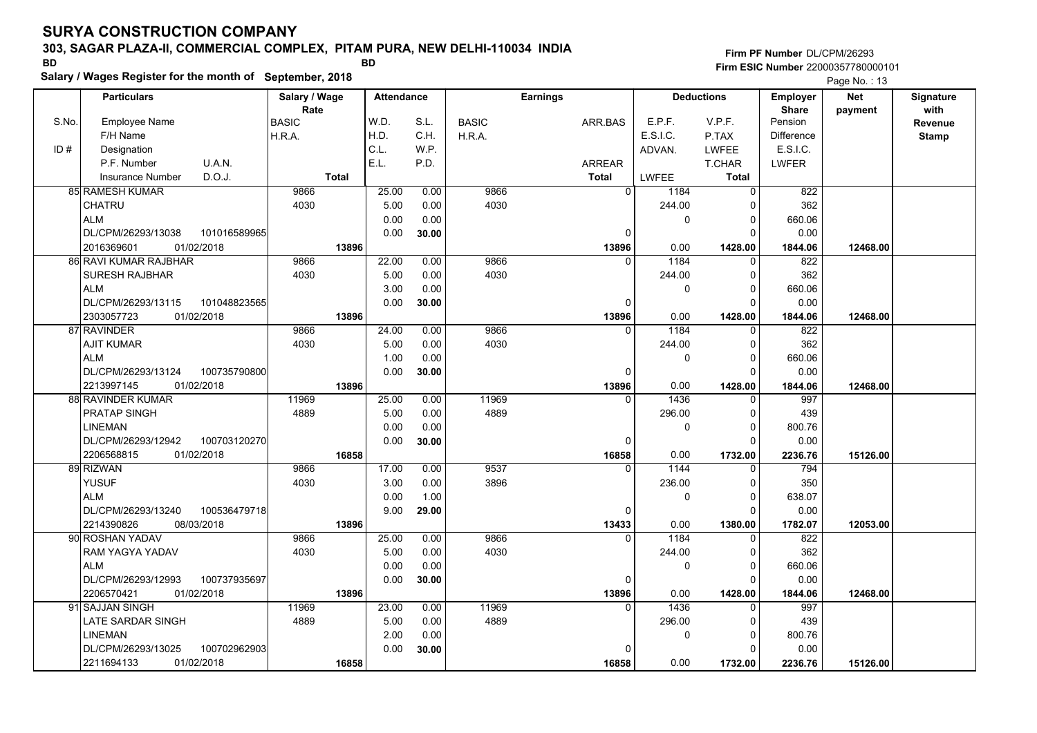### **303, SAGAR PLAZA-II, COMMERCIAL COMPLEX, PITAM PURA, NEW DELHI-110034 INDIA**

**Salary / Wages Register for the month of September, 2018 BD BD**

**Firm PF Number**DL/CPM/26293**Firm ESIC Number** 22000357780000101

|                          |                                                                                                                                                                                                                                                                                                                          |                                                                                                                                                                 |                                                                          |                                                                                                         |                                                      |                                                                 |          |                                          |                                                                 | Page No.: 13                                                                   |                                                                    |           |
|--------------------------|--------------------------------------------------------------------------------------------------------------------------------------------------------------------------------------------------------------------------------------------------------------------------------------------------------------------------|-----------------------------------------------------------------------------------------------------------------------------------------------------------------|--------------------------------------------------------------------------|---------------------------------------------------------------------------------------------------------|------------------------------------------------------|-----------------------------------------------------------------|----------|------------------------------------------|-----------------------------------------------------------------|--------------------------------------------------------------------------------|--------------------------------------------------------------------|-----------|
| <b>Particulars</b>       | Salary / Wage                                                                                                                                                                                                                                                                                                            |                                                                                                                                                                 | <b>Attendance</b>                                                        |                                                                                                         |                                                      | <b>Earnings</b>                                                 |          |                                          |                                                                 | <b>Net</b><br>Employer                                                         |                                                                    | Signature |
|                          | Rate                                                                                                                                                                                                                                                                                                                     |                                                                                                                                                                 |                                                                          |                                                                                                         |                                                      |                                                                 |          |                                          |                                                                 | <b>Share</b>                                                                   | payment                                                            | with      |
|                          |                                                                                                                                                                                                                                                                                                                          |                                                                                                                                                                 |                                                                          |                                                                                                         |                                                      |                                                                 |          |                                          |                                                                 |                                                                                |                                                                    | Revenue   |
|                          |                                                                                                                                                                                                                                                                                                                          |                                                                                                                                                                 |                                                                          |                                                                                                         |                                                      |                                                                 |          |                                          |                                                                 |                                                                                |                                                                    | Stamp     |
|                          |                                                                                                                                                                                                                                                                                                                          |                                                                                                                                                                 |                                                                          |                                                                                                         |                                                      |                                                                 |          |                                          |                                                                 |                                                                                |                                                                    |           |
|                          |                                                                                                                                                                                                                                                                                                                          |                                                                                                                                                                 |                                                                          |                                                                                                         |                                                      |                                                                 |          |                                          |                                                                 |                                                                                |                                                                    |           |
|                          |                                                                                                                                                                                                                                                                                                                          |                                                                                                                                                                 |                                                                          |                                                                                                         |                                                      |                                                                 |          |                                          |                                                                 |                                                                                |                                                                    |           |
|                          | 9866                                                                                                                                                                                                                                                                                                                     |                                                                                                                                                                 |                                                                          | 0.00                                                                                                    |                                                      |                                                                 | $\Omega$ | 1184                                     | $\mathbf 0$                                                     | 822                                                                            |                                                                    |           |
| <b>CHATRU</b>            | 4030                                                                                                                                                                                                                                                                                                                     |                                                                                                                                                                 | 5.00                                                                     | 0.00                                                                                                    | 4030                                                 |                                                                 |          |                                          | $\Omega$                                                        | 362                                                                            |                                                                    |           |
| <b>ALM</b>               |                                                                                                                                                                                                                                                                                                                          |                                                                                                                                                                 |                                                                          | 0.00                                                                                                    |                                                      |                                                                 |          | 0                                        | 0                                                               |                                                                                |                                                                    |           |
|                          |                                                                                                                                                                                                                                                                                                                          |                                                                                                                                                                 |                                                                          | 30.00                                                                                                   |                                                      |                                                                 | 0        |                                          | $\Omega$                                                        | 0.00                                                                           |                                                                    |           |
| 01/02/2018<br>2016369601 |                                                                                                                                                                                                                                                                                                                          | 13896                                                                                                                                                           |                                                                          |                                                                                                         |                                                      |                                                                 | 13896    | 0.00                                     | 1428.00                                                         | 1844.06                                                                        | 12468.00                                                           |           |
|                          |                                                                                                                                                                                                                                                                                                                          |                                                                                                                                                                 |                                                                          | 0.00                                                                                                    |                                                      |                                                                 |          | 1184                                     | 0                                                               | 822                                                                            |                                                                    |           |
| <b>SURESH RAJBHAR</b>    | 4030                                                                                                                                                                                                                                                                                                                     |                                                                                                                                                                 | 5.00                                                                     | 0.00                                                                                                    | 4030                                                 |                                                                 |          | 244.00                                   | 0                                                               | 362                                                                            |                                                                    |           |
|                          |                                                                                                                                                                                                                                                                                                                          |                                                                                                                                                                 |                                                                          |                                                                                                         |                                                      |                                                                 |          | $\Omega$                                 | 0                                                               | 660.06                                                                         |                                                                    |           |
| DL/CPM/26293/13115       |                                                                                                                                                                                                                                                                                                                          |                                                                                                                                                                 |                                                                          | 30.00                                                                                                   |                                                      |                                                                 | 0        |                                          | $\Omega$                                                        | 0.00                                                                           |                                                                    |           |
| 2303057723<br>01/02/2018 |                                                                                                                                                                                                                                                                                                                          | 13896                                                                                                                                                           |                                                                          |                                                                                                         |                                                      |                                                                 | 13896    | 0.00                                     | 1428.00                                                         | 1844.06                                                                        | 12468.00                                                           |           |
|                          | 9866                                                                                                                                                                                                                                                                                                                     |                                                                                                                                                                 | 24.00                                                                    | 0.00                                                                                                    |                                                      |                                                                 | $\Omega$ | 1184                                     | $\mathbf{0}$                                                    | 822                                                                            |                                                                    |           |
| <b>AJIT KUMAR</b>        | 4030                                                                                                                                                                                                                                                                                                                     |                                                                                                                                                                 | 5.00                                                                     | 0.00                                                                                                    | 4030                                                 |                                                                 |          | 244.00                                   | 0                                                               | 362                                                                            |                                                                    |           |
| <b>ALM</b>               |                                                                                                                                                                                                                                                                                                                          |                                                                                                                                                                 | 1.00                                                                     | 0.00                                                                                                    |                                                      |                                                                 |          | 0                                        | $\mathbf 0$                                                     | 660.06                                                                         |                                                                    |           |
| DL/CPM/26293/13124       |                                                                                                                                                                                                                                                                                                                          |                                                                                                                                                                 | 0.00                                                                     | 30.00                                                                                                   |                                                      |                                                                 | $\Omega$ |                                          | $\Omega$                                                        | 0.00                                                                           |                                                                    |           |
| 2213997145<br>01/02/2018 |                                                                                                                                                                                                                                                                                                                          | 13896                                                                                                                                                           |                                                                          |                                                                                                         |                                                      |                                                                 | 13896    | 0.00                                     | 1428.00                                                         | 1844.06                                                                        | 12468.00                                                           |           |
|                          |                                                                                                                                                                                                                                                                                                                          |                                                                                                                                                                 | 25.00                                                                    |                                                                                                         |                                                      |                                                                 | $\Omega$ |                                          | $\Omega$                                                        | 997                                                                            |                                                                    |           |
| <b>PRATAP SINGH</b>      | 4889                                                                                                                                                                                                                                                                                                                     |                                                                                                                                                                 | 5.00                                                                     | 0.00                                                                                                    | 4889                                                 |                                                                 |          | 296.00                                   | $\Omega$                                                        | 439                                                                            |                                                                    |           |
| LINEMAN                  |                                                                                                                                                                                                                                                                                                                          |                                                                                                                                                                 | 0.00                                                                     | 0.00                                                                                                    |                                                      |                                                                 |          | $\Omega$                                 | 0                                                               | 800.76                                                                         |                                                                    |           |
|                          |                                                                                                                                                                                                                                                                                                                          |                                                                                                                                                                 | 0.00                                                                     | 30.00                                                                                                   |                                                      |                                                                 | 0        |                                          | $\Omega$                                                        | 0.00                                                                           |                                                                    |           |
| 2206568815<br>01/02/2018 |                                                                                                                                                                                                                                                                                                                          | 16858                                                                                                                                                           |                                                                          |                                                                                                         |                                                      |                                                                 | 16858    | 0.00                                     | 1732.00                                                         | 2236.76                                                                        | 15126.00                                                           |           |
|                          |                                                                                                                                                                                                                                                                                                                          |                                                                                                                                                                 |                                                                          | 0.00                                                                                                    |                                                      |                                                                 |          |                                          | $\Omega$                                                        | 794                                                                            |                                                                    |           |
| <b>YUSUF</b>             | 4030                                                                                                                                                                                                                                                                                                                     |                                                                                                                                                                 |                                                                          | 0.00                                                                                                    | 3896                                                 |                                                                 |          | 236.00                                   | 0                                                               | 350                                                                            |                                                                    |           |
|                          |                                                                                                                                                                                                                                                                                                                          |                                                                                                                                                                 |                                                                          |                                                                                                         |                                                      |                                                                 |          | 0                                        | $\Omega$                                                        | 638.07                                                                         |                                                                    |           |
| DL/CPM/26293/13240       |                                                                                                                                                                                                                                                                                                                          |                                                                                                                                                                 | 9.00                                                                     | 29.00                                                                                                   |                                                      |                                                                 | 0        |                                          | $\Omega$                                                        | 0.00                                                                           |                                                                    |           |
| 2214390826<br>08/03/2018 |                                                                                                                                                                                                                                                                                                                          | 13896                                                                                                                                                           |                                                                          |                                                                                                         |                                                      |                                                                 | 13433    | 0.00                                     | 1380.00                                                         | 1782.07                                                                        | 12053.00                                                           |           |
|                          | 9866                                                                                                                                                                                                                                                                                                                     |                                                                                                                                                                 | 25.00                                                                    | 0.00                                                                                                    | 9866                                                 |                                                                 | $\Omega$ | 1184                                     | 0                                                               | 822                                                                            |                                                                    |           |
| RAM YAGYA YADAV          | 4030                                                                                                                                                                                                                                                                                                                     |                                                                                                                                                                 | 5.00                                                                     | 0.00                                                                                                    | 4030                                                 |                                                                 |          | 244.00                                   | 0                                                               | 362                                                                            |                                                                    |           |
| <b>ALM</b>               |                                                                                                                                                                                                                                                                                                                          |                                                                                                                                                                 | 0.00                                                                     | 0.00                                                                                                    |                                                      |                                                                 |          | 0                                        | 0                                                               | 660.06                                                                         |                                                                    |           |
| DL/CPM/26293/12993       |                                                                                                                                                                                                                                                                                                                          |                                                                                                                                                                 | 0.00                                                                     | 30.00                                                                                                   |                                                      |                                                                 | $\Omega$ |                                          | $\Omega$                                                        | 0.00                                                                           |                                                                    |           |
| 2206570421<br>01/02/2018 |                                                                                                                                                                                                                                                                                                                          | 13896                                                                                                                                                           |                                                                          |                                                                                                         |                                                      |                                                                 | 13896    | 0.00                                     | 1428.00                                                         | 1844.06                                                                        | 12468.00                                                           |           |
|                          | 11969                                                                                                                                                                                                                                                                                                                    |                                                                                                                                                                 | 23.00                                                                    | 0.00                                                                                                    | 11969                                                |                                                                 | $\Omega$ | 1436                                     | $\Omega$                                                        | 997                                                                            |                                                                    |           |
| LATE SARDAR SINGH        | 4889                                                                                                                                                                                                                                                                                                                     |                                                                                                                                                                 | 5.00                                                                     | 0.00                                                                                                    | 4889                                                 |                                                                 |          | 296.00                                   | $\Omega$                                                        | 439                                                                            |                                                                    |           |
| <b>LINEMAN</b>           |                                                                                                                                                                                                                                                                                                                          |                                                                                                                                                                 | 2.00                                                                     | 0.00                                                                                                    |                                                      |                                                                 |          | 0                                        | 0                                                               | 800.76                                                                         |                                                                    |           |
| DL/CPM/26293/13025       |                                                                                                                                                                                                                                                                                                                          |                                                                                                                                                                 | 0.00                                                                     | 30.00                                                                                                   |                                                      |                                                                 |          |                                          | $\Omega$                                                        | 0.00                                                                           |                                                                    |           |
| 2211694133<br>01/02/2018 |                                                                                                                                                                                                                                                                                                                          | 16858                                                                                                                                                           |                                                                          |                                                                                                         |                                                      |                                                                 | 16858    | 0.00                                     | 1732.00                                                         | 2236.76                                                                        | 15126.00                                                           |           |
| S.No.                    | Employee Name<br>F/H Name<br>Designation<br>U.A.N.<br>P.F. Number<br>D.O.J.<br><b>Insurance Number</b><br><b>85 RAMESH KUMAR</b><br>DL/CPM/26293/13038<br>86 RAVI KUMAR RAJBHAR<br><b>ALM</b><br>87 RAVINDER<br>88 RAVINDER KUMAR<br>DL/CPM/26293/12942<br>89 RIZWAN<br><b>ALM</b><br>90 ROSHAN YADAV<br>91 SAJJAN SINGH | <b>BASIC</b><br>H.R.A.<br>101016589965<br>9866<br>101048823565<br>100735790800<br>11969<br>100703120270<br>9866<br>100536479718<br>100737935697<br>100702962903 | Salary / Wages Register for the month of September, 2018<br><b>Total</b> | W.D.<br>H.D.<br>C.L.<br>E.L.<br>25.00<br>0.00<br>0.00<br>22.00<br>3.00<br>0.00<br>17.00<br>3.00<br>0.00 | S.L.<br>C.H.<br>W.P.<br>P.D.<br>0.00<br>0.00<br>1.00 | <b>BASIC</b><br>H.R.A.<br>9866<br>9866<br>9866<br>11969<br>9537 |          | ARR.BAS<br><b>ARREAR</b><br><b>Total</b> | E.P.F.<br>E.S.I.C.<br>ADVAN.<br>LWFEE<br>244.00<br>1436<br>1144 | <b>Deductions</b><br>V.P.F.<br>P.TAX<br><b>LWFEE</b><br>T.CHAR<br><b>Total</b> | Pension<br><b>Difference</b><br>E.S.I.C.<br><b>LWFER</b><br>660.06 |           |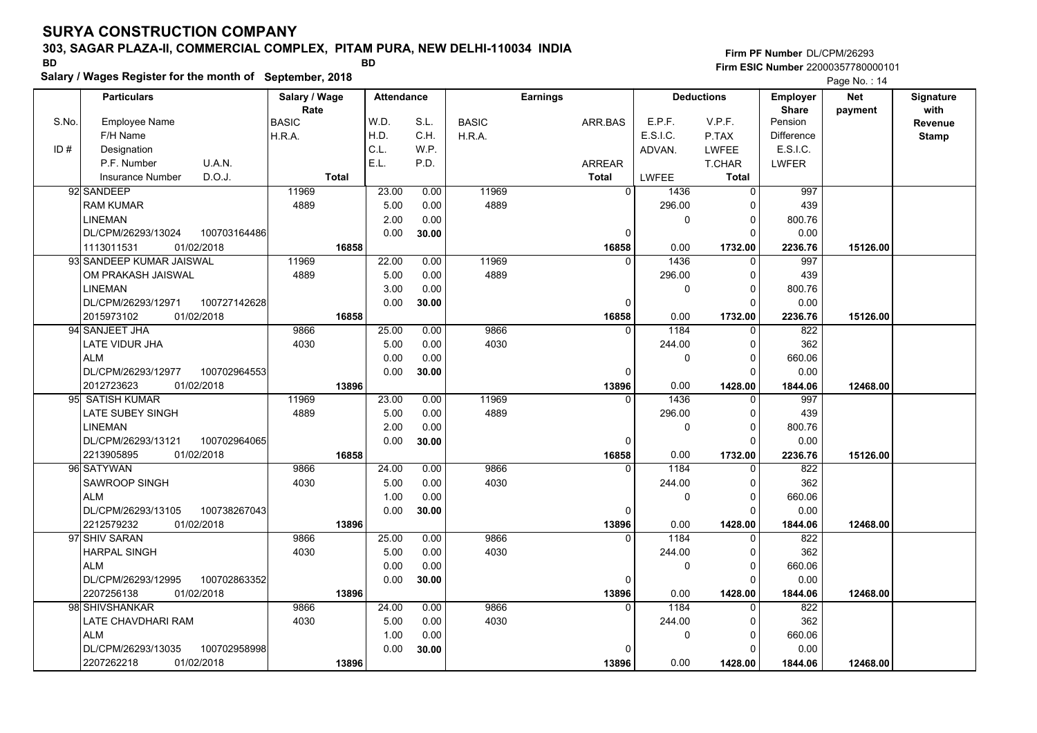#### **303, SAGAR PLAZA-II, COMMERCIAL COMPLEX, PITAM PURA, NEW DELHI-110034 INDIA**

**Salary / Wages Register for the month of September, 2018 BD BD**

**Firm PF Number**DL/CPM/26293**Firm ESIC Number** 22000357780000101

|       | <b>Particulars</b>                 | Salary / Wage        | <b>Attendance</b> |       | <b>Earnings</b> |                | <b>Deductions</b> |              | Employer                | <b>Net</b> | Signature              |
|-------|------------------------------------|----------------------|-------------------|-------|-----------------|----------------|-------------------|--------------|-------------------------|------------|------------------------|
| S.No. | Employee Name                      | Rate<br><b>BASIC</b> | W.D.              | S.L.  | <b>BASIC</b>    | ARR.BAS        | E.P.F.            | V.P.F.       | <b>Share</b><br>Pension | payment    | with<br><b>Revenue</b> |
|       | F/H Name                           | H.R.A.               | H.D.              | C.H.  | H.R.A.          |                | E.S.I.C.          | P.TAX        | <b>Difference</b>       |            | <b>Stamp</b>           |
| ID#   | Designation                        |                      | C.L.              | W.P.  |                 |                | ADVAN.            | <b>LWFEE</b> | E.S.I.C.                |            |                        |
|       | U.A.N.<br>P.F. Number              |                      | E.L.              | P.D.  |                 | <b>ARREAR</b>  |                   | T.CHAR       | <b>LWFER</b>            |            |                        |
|       | D.O.J.<br><b>Insurance Number</b>  | <b>Total</b>         |                   |       |                 | <b>Total</b>   | LWFEE             | Total        |                         |            |                        |
|       | 92 SANDEEP                         | 11969                | 23.00             | 0.00  | 11969           | $\mathbf 0$    | 1436              | 0            | 997                     |            |                        |
|       | RAM KUMAR                          | 4889                 | 5.00              | 0.00  | 4889            |                | 296.00            |              | 439                     |            |                        |
|       | <b>LINEMAN</b>                     |                      | 2.00              | 0.00  |                 |                | $\Omega$          | 0            | 800.76                  |            |                        |
|       | DL/CPM/26293/13024<br>100703164486 |                      | 0.00              | 30.00 |                 | $\mathbf 0$    |                   | $\Omega$     | 0.00                    |            |                        |
|       | 01/02/2018<br>1113011531           | 16858                |                   |       |                 | 16858          | 0.00              | 1732.00      | 2236.76                 | 15126.00   |                        |
|       | 93 SANDEEP KUMAR JAISWAL           | 11969                | 22.00             | 0.00  | 11969           | 0              | 1436              | 0            | 997                     |            |                        |
|       | OM PRAKASH JAISWAL                 | 4889                 | 5.00              | 0.00  | 4889            |                | 296.00            | $\Omega$     | 439                     |            |                        |
|       | <b>LINEMAN</b>                     |                      | 3.00              | 0.00  |                 |                | $\mathbf{0}$      | $\Omega$     | 800.76                  |            |                        |
|       | DL/CPM/26293/12971<br>100727142628 |                      | 0.00              | 30.00 |                 | $\mathbf 0$    |                   | $\Omega$     | 0.00                    |            |                        |
|       | 2015973102<br>01/02/2018           | 16858                |                   |       |                 | 16858          | 0.00              | 1732.00      | 2236.76                 | 15126.00   |                        |
|       | 94 SANJEET JHA                     | 9866                 | 25.00             | 0.00  | 9866            | $\Omega$       | 1184              | 0            | 822                     |            |                        |
|       | LATE VIDUR JHA                     | 4030                 | 5.00              | 0.00  | 4030            |                | 244.00            | $\Omega$     | 362                     |            |                        |
|       | <b>ALM</b>                         |                      | 0.00              | 0.00  |                 |                | $\mathbf{0}$      | $\Omega$     | 660.06                  |            |                        |
|       | DL/CPM/26293/12977<br>100702964553 |                      | 0.00              | 30.00 |                 | $\mathbf 0$    |                   | $\Omega$     | 0.00                    |            |                        |
|       | 2012723623<br>01/02/2018           | 13896                |                   |       |                 | 13896          | 0.00              | 1428.00      | 1844.06                 | 12468.00   |                        |
|       | 95 SATISH KUMAR                    | 11969                | 23.00             | 0.00  | 11969           | $\Omega$       | 1436              | 0            | 997                     |            |                        |
|       | LATE SUBEY SINGH                   | 4889                 | 5.00              | 0.00  | 4889            |                | 296.00            | $\Omega$     | 439                     |            |                        |
|       | <b>LINEMAN</b>                     |                      | 2.00              | 0.00  |                 |                | $\Omega$          | $\Omega$     | 800.76                  |            |                        |
|       | DL/CPM/26293/13121<br>100702964065 |                      | 0.00              | 30.00 |                 | $\mathbf 0$    |                   | $\Omega$     | 0.00                    |            |                        |
|       | 2213905895<br>01/02/2018           | 16858                |                   |       |                 | 16858          | 0.00              | 1732.00      | 2236.76                 | 15126.00   |                        |
|       | 96 SATYWAN                         | 9866                 | 24.00             | 0.00  | 9866            | $\overline{0}$ | 1184              | $\Omega$     | 822                     |            |                        |
|       | SAWROOP SINGH                      | 4030                 | 5.00              | 0.00  | 4030            |                | 244.00            | $\Omega$     | 362                     |            |                        |
|       | <b>ALM</b>                         |                      | 1.00              | 0.00  |                 |                | $\mathbf 0$       | 0            | 660.06                  |            |                        |
|       | DL/CPM/26293/13105<br>100738267043 |                      | 0.00              | 30.00 |                 | 0              |                   | 0            | 0.00                    |            |                        |
|       | 2212579232<br>01/02/2018           | 13896                |                   |       |                 | 13896          | 0.00              | 1428.00      | 1844.06                 | 12468.00   |                        |
|       | 97 SHIV SARAN                      | 9866                 | 25.00             | 0.00  | 9866            | $\Omega$       | 1184              | $\Omega$     | 822                     |            |                        |
|       | HARPAL SINGH                       | 4030                 | 5.00              | 0.00  | 4030            |                | 244.00            | 0            | 362                     |            |                        |
|       | <b>ALM</b>                         |                      | 0.00              | 0.00  |                 |                | 0                 | 0            | 660.06                  |            |                        |
|       | DL/CPM/26293/12995<br>100702863352 |                      | 0.00              | 30.00 |                 | 0              |                   | $\Omega$     | 0.00                    |            |                        |
|       | 2207256138<br>01/02/2018           | 13896                |                   |       |                 | 13896          | 0.00              | 1428.00      | 1844.06                 | 12468.00   |                        |
|       | 98 SHIVSHANKAR                     | 9866                 | 24.00             | 0.00  | 9866            | $\Omega$       | 1184              | $\Omega$     | 822                     |            |                        |
|       | LATE CHAVDHARI RAM                 | 4030                 | 5.00              | 0.00  | 4030            |                | 244.00            | 0            | 362                     |            |                        |
|       | <b>ALM</b>                         |                      | 1.00              | 0.00  |                 |                | $\mathbf{0}$      | 0            | 660.06                  |            |                        |
|       | DL/CPM/26293/13035<br>100702958998 |                      | 0.00              | 30.00 |                 | 0              |                   | U            | 0.00                    |            |                        |
|       | 2207262218<br>01/02/2018           | 13896                |                   |       |                 | 13896          | 0.00              | 1428.00      | 1844.06                 | 12468.00   |                        |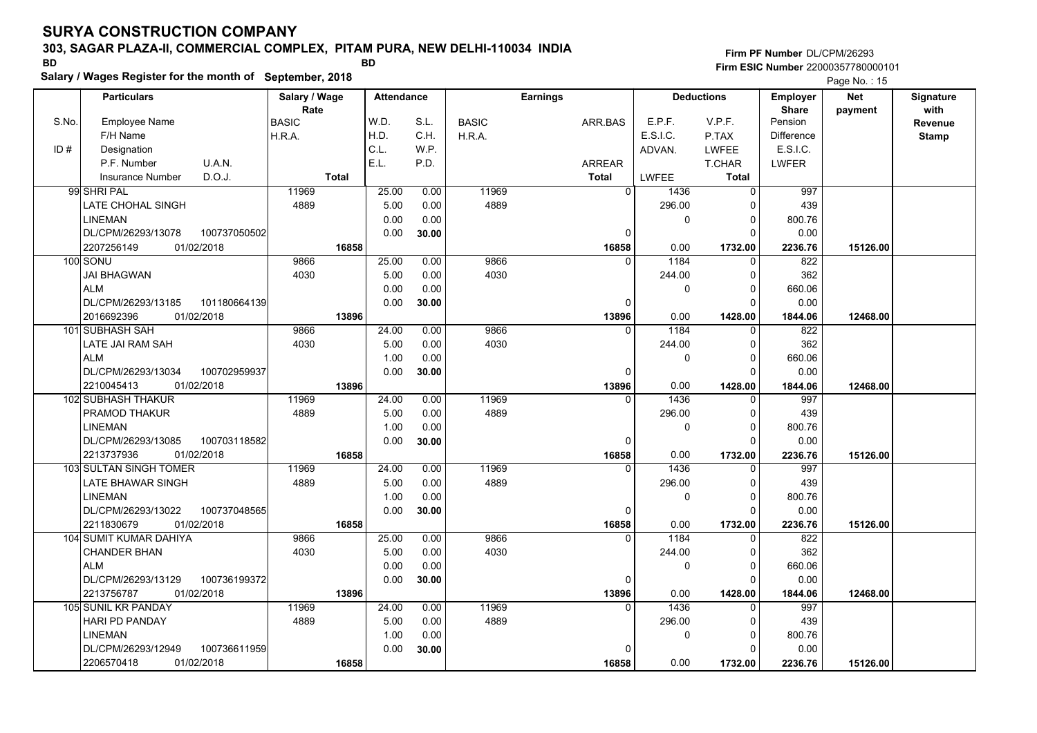### **303, SAGAR PLAZA-II, COMMERCIAL COMPLEX, PITAM PURA, NEW DELHI-110034 INDIA**

**Salary / Wages Register for the month of September, 2018 BD BD**

### **Firm PF Number**DL/CPM/26293**Firm ESIC Number** 22000357780000101

|       | <b>Particulars</b>                                   | Salary / Wage        | <b>Attendance</b> |              | <b>Earnings</b> |                         | <b>Deductions</b> |                         | Employer                | <b>Net</b> | Signature       |
|-------|------------------------------------------------------|----------------------|-------------------|--------------|-----------------|-------------------------|-------------------|-------------------------|-------------------------|------------|-----------------|
| S.No. | <b>Employee Name</b>                                 | Rate<br><b>BASIC</b> | W.D.              | S.L.         | <b>BASIC</b>    | ARR.BAS                 | E.P.F.            | V.P.F.                  | <b>Share</b><br>Pension | payment    | with<br>Revenue |
|       | F/H Name                                             | H.R.A.               | H.D.              | C.H.         | H.R.A.          |                         | E.S.I.C.          | P.TAX                   | <b>Difference</b>       |            |                 |
| ID#   | Designation                                          |                      | C.L.              | W.P.         |                 |                         | ADVAN.            | <b>LWFEE</b>            | E.S.I.C.                |            | <b>Stamp</b>    |
|       | U.A.N.<br>P.F. Number                                |                      | E.L.              | P.D.         |                 | <b>ARREAR</b>           |                   | T.CHAR                  | <b>LWFER</b>            |            |                 |
|       | D.O.J.<br><b>Insurance Number</b>                    | <b>Total</b>         |                   |              |                 | <b>Total</b>            | <b>LWFEE</b>      | <b>Total</b>            |                         |            |                 |
|       | 99 SHRI PAL                                          | 11969                | 25.00             | 0.00         | 11969           | $\Omega$                | 1436              | $\mathbf 0$             | 997                     |            |                 |
|       | LATE CHOHAL SINGH                                    | 4889                 |                   |              | 4889            |                         | 296.00            | $\Omega$                |                         |            |                 |
|       |                                                      |                      | 5.00              | 0.00<br>0.00 |                 |                         |                   | $\Omega$                | 439                     |            |                 |
|       | <b>LINEMAN</b><br>DL/CPM/26293/13078<br>100737050502 |                      | 0.00<br>0.00      |              |                 | $\mathbf 0$             | 0                 | $\Omega$                | 800.76<br>0.00          |            |                 |
|       | 2207256149<br>01/02/2018                             | 16858                |                   | 30.00        |                 |                         |                   |                         |                         |            |                 |
|       |                                                      | 9866                 |                   |              | 9866            | 16858<br>$\Omega$       | 0.00<br>1184      | 1732.00<br>$\mathbf{0}$ | 2236.76                 | 15126.00   |                 |
|       | 100 SONU                                             |                      | 25.00             | 0.00         |                 |                         |                   |                         | 822                     |            |                 |
|       | JAI BHAGWAN                                          | 4030                 | 5.00              | 0.00         | 4030            |                         | 244.00            | $\Omega$                | 362                     |            |                 |
|       | <b>ALM</b>                                           |                      | 0.00              | 0.00         |                 |                         | 0                 | $\Omega$<br>$\Omega$    | 660.06                  |            |                 |
|       | DL/CPM/26293/13185<br>101180664139                   |                      | 0.00              | 30.00        |                 | $\Omega$                |                   |                         | 0.00                    |            |                 |
|       | 2016692396<br>01/02/2018<br>101 SUBHASH SAH          | 13896<br>9866        |                   |              |                 | 13896<br>$\Omega$       | 0.00<br>1184      | 1428.00<br>$\mathbf{0}$ | 1844.06                 | 12468.00   |                 |
|       |                                                      |                      | 24.00             | 0.00         | 9866            |                         |                   |                         | 822                     |            |                 |
|       | LATE JAI RAM SAH                                     | 4030                 | 5.00<br>1.00      | 0.00         | 4030            |                         | 244.00            | $\Omega$<br>$\Omega$    | 362                     |            |                 |
|       | <b>ALM</b>                                           |                      |                   | 0.00         |                 |                         | 0                 | $\Omega$                | 660.06                  |            |                 |
|       | DL/CPM/26293/13034<br>100702959937                   |                      | 0.00              | 30.00        |                 | $\Omega$                |                   |                         | 0.00                    |            |                 |
|       | 01/02/2018<br>2210045413<br>102 SUBHASH THAKUR       | 13896<br>11969       | 24.00             | 0.00         | 11969           | 13896<br>$\Omega$       | 0.00<br>1436      | 1428.00<br>0            | 1844.06<br>997          | 12468.00   |                 |
|       | PRAMOD THAKUR                                        | 4889                 |                   | 0.00         | 4889            |                         | 296.00            | $\Omega$                | 439                     |            |                 |
|       |                                                      |                      | 5.00              | 0.00         |                 |                         | 0                 | $\Omega$                | 800.76                  |            |                 |
|       | <b>LINEMAN</b>                                       |                      | 1.00              |              |                 |                         |                   | $\Omega$                |                         |            |                 |
|       | DL/CPM/26293/13085<br>100703118582<br>2213737936     |                      | 0.00              | 30.00        |                 | $\Omega$                |                   |                         | 0.00                    |            |                 |
|       | 01/02/2018<br>103 SULTAN SINGH TOMER                 | 16858<br>11969       | 24.00             | 0.00         | 11969           | 16858<br>$\overline{0}$ | 0.00<br>1436      | 1732.00<br>$\Omega$     | 2236.76<br>997          | 15126.00   |                 |
|       |                                                      |                      |                   |              |                 |                         |                   | $\Omega$                |                         |            |                 |
|       | LATE BHAWAR SINGH                                    | 4889                 | 5.00              | 0.00         | 4889            |                         | 296.00            | $\Omega$                | 439                     |            |                 |
|       | <b>LINEMAN</b>                                       |                      | 1.00              | 0.00         |                 |                         | 0                 | $\Omega$                | 800.76                  |            |                 |
|       | DL/CPM/26293/13022<br>100737048565                   |                      | 0.00              | 30.00        |                 | $\pmb{0}$               |                   |                         | 0.00                    |            |                 |
|       | 2211830679<br>01/02/2018                             | 16858<br>9866        | 25.00             |              | 9866            | 16858<br>$\Omega$       | 0.00<br>1184      | 1732.00                 | 2236.76                 | 15126.00   |                 |
|       | 104 SUMIT KUMAR DAHIYA                               |                      |                   | 0.00         |                 |                         |                   | $\Omega$<br>$\Omega$    | 822                     |            |                 |
|       | <b>CHANDER BHAN</b>                                  | 4030                 | 5.00              | 0.00         | 4030            |                         | 244.00            |                         | 362                     |            |                 |
|       | <b>ALM</b>                                           |                      | 0.00              | 0.00         |                 |                         | 0                 | $\Omega$                | 660.06                  |            |                 |
|       | 100736199372<br>DL/CPM/26293/13129                   |                      | 0.00              | 30.00        |                 | 0                       |                   | $\Omega$                | 0.00                    |            |                 |
|       | 2213756787<br>01/02/2018                             | 13896                |                   |              |                 | 13896                   | 0.00              | 1428.00                 | 1844.06                 | 12468.00   |                 |
|       | 105 SUNIL KR PANDAY                                  | 11969                | 24.00             | 0.00         | 11969           | $\Omega$                | 1436              | $\Omega$                | 997                     |            |                 |
|       | <b>HARI PD PANDAY</b>                                | 4889                 | 5.00              | 0.00         | 4889            |                         | 296.00            | $\Omega$                | 439                     |            |                 |
|       | <b>LINEMAN</b>                                       |                      | 1.00              | 0.00         |                 |                         | 0                 | $\Omega$                | 800.76                  |            |                 |
|       | DL/CPM/26293/12949<br>100736611959                   |                      | 0.00              | 30.00        |                 | 0                       |                   | $\Omega$                | 0.00                    |            |                 |
|       | 2206570418<br>01/02/2018                             | 16858                |                   |              |                 | 16858                   | 0.00              | 1732.00                 | 2236.76                 | 15126.00   |                 |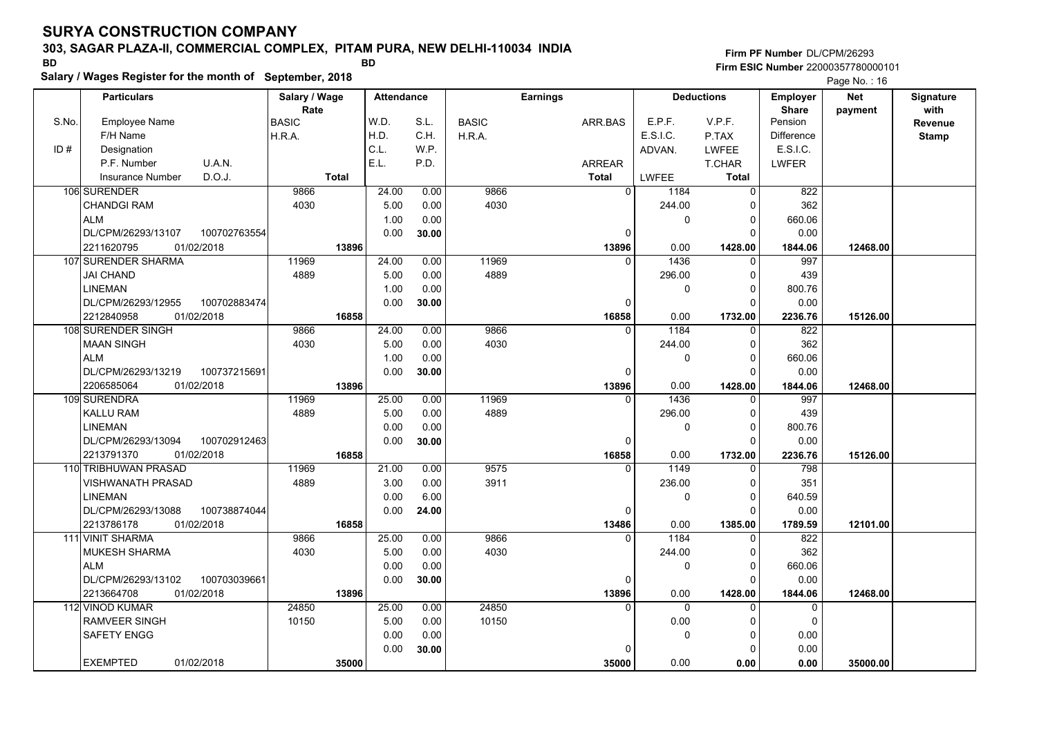### **303, SAGAR PLAZA-II, COMMERCIAL COMPLEX, PITAM PURA, NEW DELHI-110034 INDIA**

**Salary / Wages Register for the month of September, 2018 BD BD**

**Firm PF Number**DL/CPM/26293**Firm ESIC Number** 22000357780000101

|       | Salary / Wages Register for the month of September, 2018 |               |              |                   |       |              |                 |                        |                   | Page No.: 16    |            |                  |
|-------|----------------------------------------------------------|---------------|--------------|-------------------|-------|--------------|-----------------|------------------------|-------------------|-----------------|------------|------------------|
|       | <b>Particulars</b>                                       | Salary / Wage |              | <b>Attendance</b> |       |              | <b>Earnings</b> |                        | <b>Deductions</b> | <b>Employer</b> | <b>Net</b> | <b>Signature</b> |
|       |                                                          | Rate          |              |                   |       |              |                 |                        |                   | <b>Share</b>    | payment    | with             |
| S.No. | Employee Name                                            | <b>BASIC</b>  |              | W.D.              | S.L.  | <b>BASIC</b> | ARR.BAS         | E.P.F.                 | V.P.F.            | Pension         |            | Revenue          |
|       | F/H Name                                                 | H.R.A.        |              | H.D.              | C.H.  | H.R.A.       |                 | E.S.I.C.               | P.TAX             | Difference      |            | Stamp            |
| ID#   | Designation                                              |               |              | C.L.              | W.P.  |              |                 | ADVAN.                 | <b>LWFEE</b>      | E.S.I.C.        |            |                  |
|       | U.A.N.<br>P.F. Number                                    |               |              | E.L.              | P.D.  |              | ARREAR          |                        | <b>T.CHAR</b>     | LWFER           |            |                  |
|       | D.O.J.<br>Insurance Number                               |               | <b>Total</b> |                   |       |              | <b>Total</b>    | <b>LWFEE</b>           | Total             |                 |            |                  |
|       | 106 SURENDER                                             | 9866          |              | 24.00             | 0.00  | 9866         |                 | $\overline{0}$<br>1184 | $\Omega$          | 822             |            |                  |
|       | <b>CHANDGI RAM</b>                                       | 4030          |              | 5.00              | 0.00  | 4030         |                 | 244.00                 |                   | 362             |            |                  |
|       | ALM                                                      |               |              | 1.00              | 0.00  |              |                 | 0                      | 0                 | 660.06          |            |                  |
|       | 100702763554<br>DL/CPM/26293/13107                       |               |              | 0.00              | 30.00 |              |                 | $\mathbf 0$            | $\Omega$          | 0.00            |            |                  |
|       | 01/02/2018<br>2211620795                                 |               | 13896        |                   |       |              | 13896           | 0.00                   | 1428.00           | 1844.06         | 12468.00   |                  |
|       | 107 SURENDER SHARMA                                      | 11969         |              | 24.00             | 0.00  | 11969        |                 | 1436                   | 0                 | 997             |            |                  |
|       | <b>JAI CHAND</b>                                         | 4889          |              | 5.00              | 0.00  | 4889         |                 | 296.00                 | O                 | 439             |            |                  |
|       | <b>LINEMAN</b>                                           |               |              | 1.00              | 0.00  |              |                 | $\pmb{0}$              |                   | 800.76          |            |                  |
|       | DL/CPM/26293/12955<br>100702883474                       |               |              | 0.00              | 30.00 |              |                 | 0                      | $\Omega$          | 0.00            |            |                  |
|       | 2212840958<br>01/02/2018                                 |               | 16858        |                   |       |              | 16858           | 0.00                   | 1732.00           | 2236.76         | 15126.00   |                  |
|       | 108 SURENDER SINGH                                       | 9866          |              | 24.00             | 0.00  | 9866         |                 | 1184<br>$\Omega$       | $\mathbf{0}$      | 822             |            |                  |
|       | MAAN SINGH                                               | 4030          |              | 5.00              | 0.00  | 4030         |                 | 244.00                 | 0                 | 362             |            |                  |
|       | <b>ALM</b>                                               |               |              | 1.00              | 0.00  |              |                 | $\mathbf 0$            | $\Omega$          | 660.06          |            |                  |
|       | DL/CPM/26293/13219<br>100737215691                       |               |              | 0.00              | 30.00 |              |                 | $\Omega$               | $\Omega$          | 0.00            |            |                  |
|       | 2206585064<br>01/02/2018                                 |               | 13896        |                   |       |              | 13896           | 0.00                   | 1428.00           | 1844.06         | 12468.00   |                  |
|       | 109 SURENDRA                                             | 11969         |              | 25.00             | 0.00  | 11969        |                 | $\Omega$<br>1436       | $\Omega$          | 997             |            |                  |
|       | <b>KALLU RAM</b>                                         | 4889          |              | 5.00              | 0.00  | 4889         |                 | 296.00                 | 0                 | 439             |            |                  |
|       | <b>LINEMAN</b>                                           |               |              | 0.00              | 0.00  |              |                 | $\pmb{0}$              | 0                 | 800.76          |            |                  |
|       | 100702912463<br>DL/CPM/26293/13094                       |               |              | 0.00              | 30.00 |              |                 | 0                      | $\Omega$          | 0.00            |            |                  |
|       | 01/02/2018<br>2213791370                                 |               | 16858        |                   |       |              | 16858           | 0.00                   | 1732.00           | 2236.76         | 15126.00   |                  |
|       | 110 TRIBHUWAN PRASAD                                     | 11969         |              | 21.00             | 0.00  | 9575         |                 | 1149                   |                   | 798             |            |                  |
|       | <b>VISHWANATH PRASAD</b>                                 | 4889          |              | 3.00              | 0.00  | 3911         |                 | 236.00                 | 0                 | 351             |            |                  |
|       | <b>LINEMAN</b>                                           |               |              | 0.00              | 6.00  |              |                 | $\mathbf 0$            | $\Omega$          | 640.59          |            |                  |
|       | DL/CPM/26293/13088<br>100738874044                       |               |              | 0.00              | 24.00 |              |                 | $\mathbf 0$            | $\Omega$          | 0.00            |            |                  |
|       | 2213786178<br>01/02/2018                                 |               | 16858        |                   |       |              | 13486           | 0.00                   | 1385.00           | 1789.59         | 12101.00   |                  |
|       | 111 VINIT SHARMA                                         | 9866          |              | 25.00             | 0.00  | 9866         |                 | 1184<br>$\Omega$       | $\Omega$          | 822             |            |                  |
|       | MUKESH SHARMA                                            | 4030          |              | 5.00              | 0.00  | 4030         |                 | 244.00                 | $\Omega$          | 362             |            |                  |
|       | <b>ALM</b>                                               |               |              | 0.00              | 0.00  |              |                 | $\mathbf 0$            | $\Omega$          | 660.06          |            |                  |
|       | DL/CPM/26293/13102<br>100703039661                       |               |              | 0.00              | 30.00 |              |                 | $\Omega$               | $\Omega$          | 0.00            |            |                  |
|       | 2213664708<br>01/02/2018                                 |               | 13896        |                   |       |              | 13896           | 0.00                   | 1428.00           | 1844.06         | 12468.00   |                  |
|       | 112 VINOD KUMAR                                          | 24850         |              | 25.00             | 0.00  | 24850        |                 | $\Omega$<br>$\Omega$   | $\Omega$          | $\Omega$        |            |                  |
|       | RAMVEER SINGH                                            | 10150         |              | 5.00              | 0.00  | 10150        |                 | 0.00                   | $\Omega$          | $\Omega$        |            |                  |
|       | SAFETY ENGG                                              |               |              | 0.00              | 0.00  |              |                 | 0                      | $\Omega$          | 0.00            |            |                  |
|       |                                                          |               |              | 0.00              | 30.00 |              |                 | $\Omega$               |                   | 0.00            |            |                  |
|       | <b>EXEMPTED</b><br>01/02/2018                            |               | 35000        |                   |       |              | 35000           | 0.00                   | 0.00              | 0.00            | 35000.00   |                  |